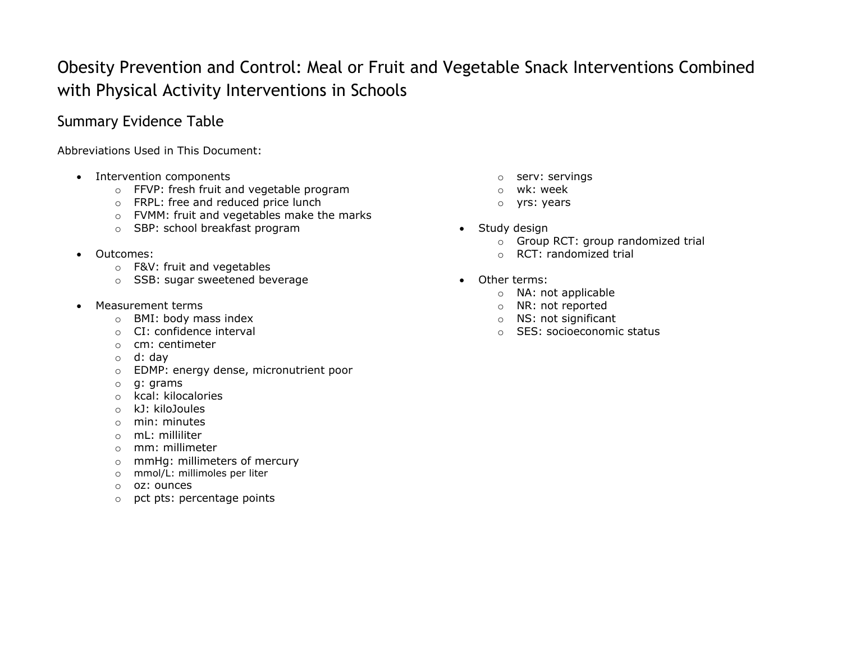## Obesity Prevention and Control: Meal or Fruit and Vegetable Snack Interventions Combined with Physical Activity Interventions in Schools

## Summary Evidence Table

Abbreviations Used in This Document:

- Intervention components **o services** of servings of services and services of servings of servings of servings of  $\alpha$ 
	- $\circ$  FFVP: fresh fruit and vegetable program  $\circ$  wk: week
	- o FRPL: free and reduced price lunch o yrs: years
	- o FVMM: fruit and vegetables make the marks
	- o SBP: school breakfast program **Study design** and Study design
- - o F&V: fruit and vegetables
	- $\circ$  SSB: sugar sweetened beverage  $\bullet$  Other terms:
- Measurement terms of the number of  $\sim$  MR: not reported
	- o BMI: body mass index o NS: not significant
	-
	- o cm: centimeter
	- o d: day
	- o EDMP: energy dense, micronutrient poor
	- o g: grams
	- o kcal: kilocalories
	- o kJ: kiloJoules
	- o min: minutes
	- o mL: milliliter
	- o mm: millimeter
	- o mmHg: millimeters of mercury
	- o mmol/L: millimoles per liter
	- o oz: ounces
	- o pct pts: percentage points
- 
- 
- 
- - o Group RCT: group randomized trial
- **•** Outcomes: **o RCT: randomized trial** 
	- - o NA: not applicable
		-
		-
	- o CI: confidence interval o SES: socioeconomic status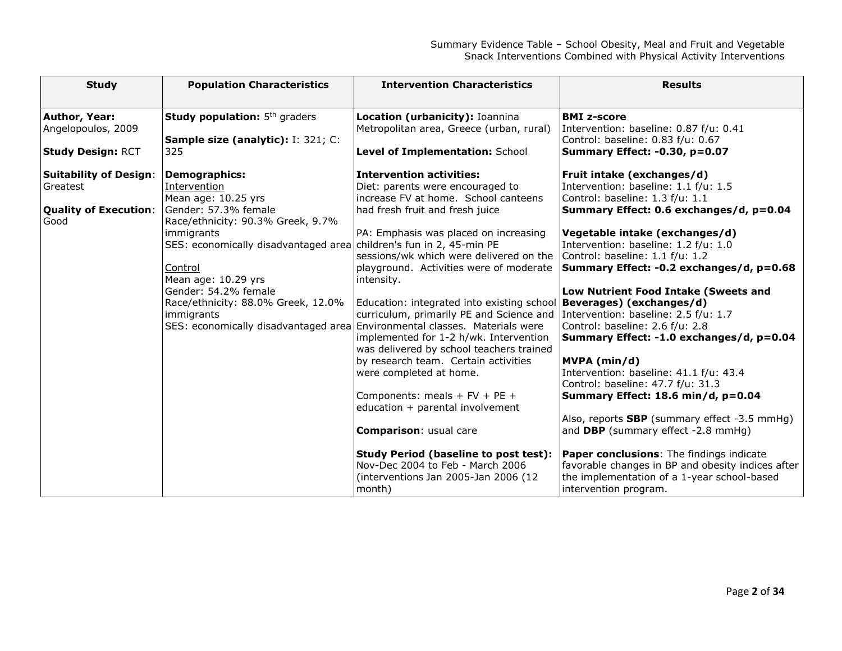| <b>Study</b>                                                                      | <b>Population Characteristics</b>                                                                                                                                                               | <b>Intervention Characteristics</b>                                                                                                                                                                                                                                                                                                                                                                                                                                                                                                                                                                               | <b>Results</b>                                                                                                                                                                                                                                                                                                                                                                                                                                                           |
|-----------------------------------------------------------------------------------|-------------------------------------------------------------------------------------------------------------------------------------------------------------------------------------------------|-------------------------------------------------------------------------------------------------------------------------------------------------------------------------------------------------------------------------------------------------------------------------------------------------------------------------------------------------------------------------------------------------------------------------------------------------------------------------------------------------------------------------------------------------------------------------------------------------------------------|--------------------------------------------------------------------------------------------------------------------------------------------------------------------------------------------------------------------------------------------------------------------------------------------------------------------------------------------------------------------------------------------------------------------------------------------------------------------------|
| <b>Author, Year:</b><br>Angelopoulos, 2009<br><b>Study Design: RCT</b>            | Study population: 5 <sup>th</sup> graders<br>Sample size (analytic): I: 321; C:<br>325                                                                                                          | Location (urbanicity): Ioannina<br>Metropolitan area, Greece (urban, rural)<br>Level of Implementation: School                                                                                                                                                                                                                                                                                                                                                                                                                                                                                                    | <b>BMI z-score</b><br>Intervention: baseline: 0.87 f/u: 0.41<br>Control: baseline: 0.83 f/u: 0.67<br>Summary Effect: -0.30, p=0.07                                                                                                                                                                                                                                                                                                                                       |
| <b>Suitability of Design:</b><br>Greatest<br><b>Quality of Execution:</b><br>Good | <b>Demographics:</b><br>Intervention<br>Mean age: 10.25 yrs<br>Gender: 57.3% female<br>Race/ethnicity: 90.3% Greek, 9.7%                                                                        | <b>Intervention activities:</b><br>Diet: parents were encouraged to<br>increase FV at home. School canteens<br>had fresh fruit and fresh juice                                                                                                                                                                                                                                                                                                                                                                                                                                                                    | Fruit intake (exchanges/d)<br>Intervention: baseline: 1.1 f/u: 1.5<br>Control: baseline: 1.3 f/u: 1.1<br>Summary Effect: 0.6 exchanges/d, p=0.04                                                                                                                                                                                                                                                                                                                         |
|                                                                                   | immigrants<br>SES: economically disadvantaged area children's fun in 2, 45-min PE<br>Control<br>Mean age: 10.29 yrs<br>Gender: 54.2% female<br>Race/ethnicity: 88.0% Greek, 12.0%<br>immigrants | PA: Emphasis was placed on increasing<br>sessions/wk which were delivered on the<br>playground. Activities were of moderate<br>intensity.<br>Education: integrated into existing school   Beverages) (exchanges/d)<br>curriculum, primarily PE and Science and Intervention: baseline: 2.5 f/u: 1.7<br>SES: economically disadvantaged area Environmental classes. Materials were<br>implemented for 1-2 h/wk. Intervention<br>was delivered by school teachers trained<br>by research team. Certain activities<br>were completed at home.<br>Components: meals + $FV$ + PE +<br>education + parental involvement | Vegetable intake (exchanges/d)<br>Intervention: baseline: 1.2 f/u: 1.0<br>Control: baseline: 1.1 f/u: 1.2<br>Summary Effect: -0.2 exchanges/d, p=0.68<br>Low Nutrient Food Intake (Sweets and<br>Control: baseline: 2.6 f/u: 2.8<br>Summary Effect: -1.0 exchanges/d, p=0.04<br>MVPA (min/d)<br>Intervention: baseline: 41.1 f/u: 43.4<br>Control: baseline: 47.7 f/u: 31.3<br>Summary Effect: 18.6 min/d, p=0.04<br>Also, reports <b>SBP</b> (summary effect -3.5 mmHg) |
|                                                                                   |                                                                                                                                                                                                 | Comparison: usual care<br><b>Study Period (baseline to post test):</b><br>Nov-Dec 2004 to Feb - March 2006<br>(interventions Jan 2005-Jan 2006 (12<br>month)                                                                                                                                                                                                                                                                                                                                                                                                                                                      | and DBP (summary effect -2.8 mmHg)<br><b>Paper conclusions:</b> The findings indicate<br>favorable changes in BP and obesity indices after<br>the implementation of a 1-year school-based<br>intervention program.                                                                                                                                                                                                                                                       |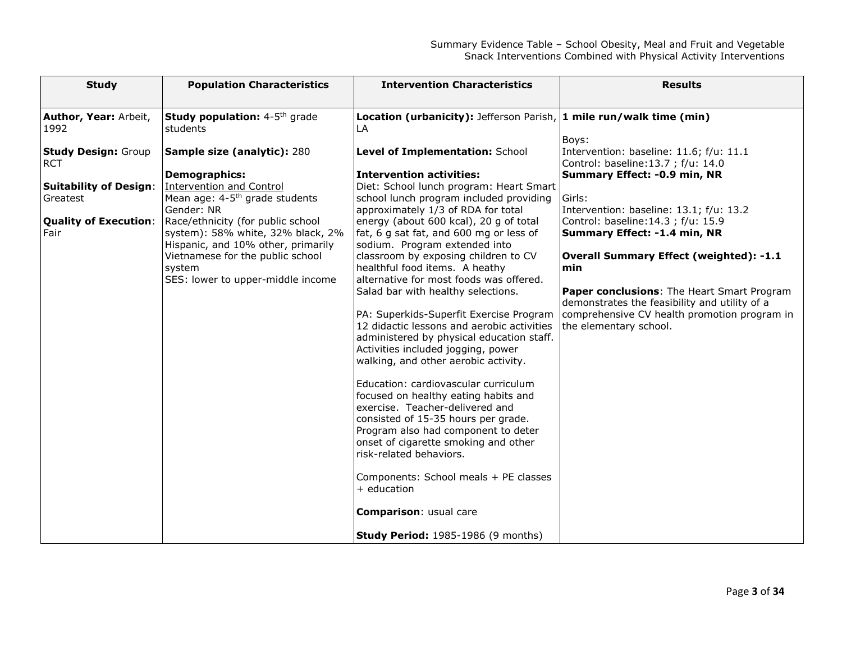| <b>Study</b>                             | <b>Population Characteristics</b>                                       | <b>Intervention Characteristics</b>                                                   | <b>Results</b>                                                                |
|------------------------------------------|-------------------------------------------------------------------------|---------------------------------------------------------------------------------------|-------------------------------------------------------------------------------|
|                                          |                                                                         |                                                                                       |                                                                               |
| Author, Year: Arbeit,<br>1992            | Study population: 4-5th grade<br>students                               | Location (urbanicity): Jefferson Parish, $1$ mile run/walk time (min)<br>LA           |                                                                               |
|                                          |                                                                         |                                                                                       | Boys:                                                                         |
| <b>Study Design: Group</b><br><b>RCT</b> | Sample size (analytic): 280                                             | Level of Implementation: School                                                       | Intervention: baseline: 11.6; f/u: 11.1<br>Control: baseline:13.7 ; f/u: 14.0 |
|                                          | <b>Demographics:</b>                                                    | <b>Intervention activities:</b>                                                       | Summary Effect: -0.9 min, NR                                                  |
| <b>Suitability of Design:</b>            | <b>Intervention and Control</b>                                         | Diet: School lunch program: Heart Smart                                               |                                                                               |
| <b>Greatest</b>                          | Mean age: 4-5 <sup>th</sup> grade students<br>Gender: NR                | school lunch program included providing<br>approximately 1/3 of RDA for total         | Girls:<br>Intervention: baseline: 13.1; f/u: 13.2                             |
| <b>Quality of Execution:</b>             | Race/ethnicity (for public school                                       | energy (about 600 kcal), 20 g of total                                                | Control: baseline: 14.3 ; f/u: 15.9                                           |
| Fair                                     | system): 58% white, 32% black, 2%<br>Hispanic, and 10% other, primarily | fat, 6 g sat fat, and 600 mg or less of<br>sodium. Program extended into              | Summary Effect: -1.4 min, NR                                                  |
|                                          | Vietnamese for the public school                                        | classroom by exposing children to CV                                                  | <b>Overall Summary Effect (weighted): -1.1</b>                                |
|                                          | system                                                                  | healthful food items. A heathy                                                        | min                                                                           |
|                                          | SES: lower to upper-middle income                                       | alternative for most foods was offered.<br>Salad bar with healthy selections.         | Paper conclusions: The Heart Smart Program                                    |
|                                          |                                                                         |                                                                                       | demonstrates the feasibility and utility of a                                 |
|                                          |                                                                         | PA: Superkids-Superfit Exercise Program<br>12 didactic lessons and aerobic activities | comprehensive CV health promotion program in<br>the elementary school.        |
|                                          |                                                                         | administered by physical education staff.                                             |                                                                               |
|                                          |                                                                         | Activities included jogging, power                                                    |                                                                               |
|                                          |                                                                         | walking, and other aerobic activity.                                                  |                                                                               |
|                                          |                                                                         | Education: cardiovascular curriculum                                                  |                                                                               |
|                                          |                                                                         | focused on healthy eating habits and<br>exercise. Teacher-delivered and               |                                                                               |
|                                          |                                                                         | consisted of 15-35 hours per grade.                                                   |                                                                               |
|                                          |                                                                         | Program also had component to deter                                                   |                                                                               |
|                                          |                                                                         | onset of cigarette smoking and other<br>risk-related behaviors.                       |                                                                               |
|                                          |                                                                         |                                                                                       |                                                                               |
|                                          |                                                                         | Components: School meals + PE classes<br>$+$ education                                |                                                                               |
|                                          |                                                                         |                                                                                       |                                                                               |
|                                          |                                                                         | Comparison: usual care                                                                |                                                                               |
|                                          |                                                                         | <b>Study Period:</b> 1985-1986 (9 months)                                             |                                                                               |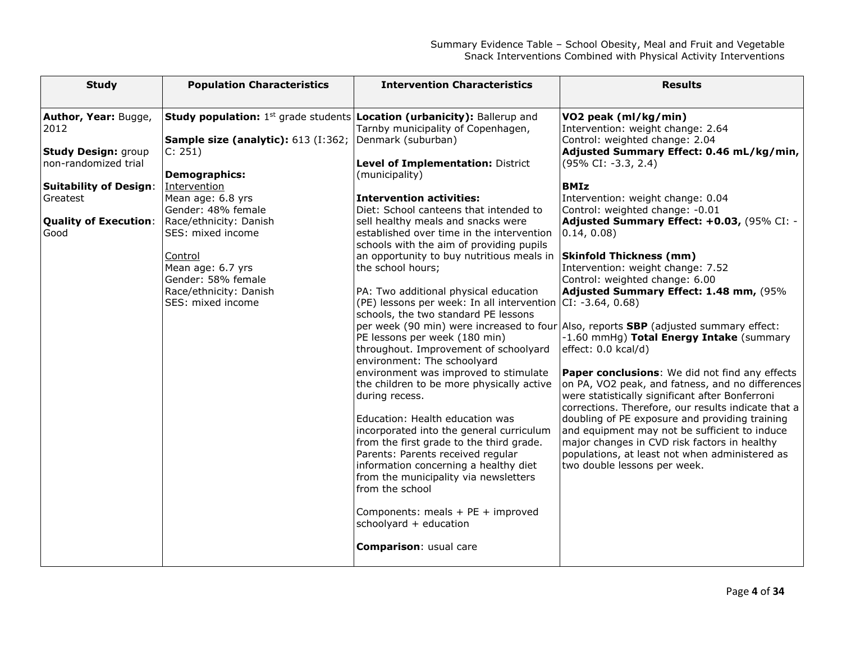| <b>Study</b>                                                                                                                                                            | <b>Population Characteristics</b>                                                                                                                                                                                                                                                                                                                                                          | <b>Intervention Characteristics</b>                                                                                                                                                                                                                                                                                                                                                                                                                                                                                                                                                                                                                                                                                                                                                                                                                                                                                                                                                                                                                                                                                                   | <b>Results</b>                                                                                                                                                                                                                                                                                                                                                                                                                                                                                                                                                                                                                                                                                                                                                                                                                                                                                                                                                                                                                                                                                                    |
|-------------------------------------------------------------------------------------------------------------------------------------------------------------------------|--------------------------------------------------------------------------------------------------------------------------------------------------------------------------------------------------------------------------------------------------------------------------------------------------------------------------------------------------------------------------------------------|---------------------------------------------------------------------------------------------------------------------------------------------------------------------------------------------------------------------------------------------------------------------------------------------------------------------------------------------------------------------------------------------------------------------------------------------------------------------------------------------------------------------------------------------------------------------------------------------------------------------------------------------------------------------------------------------------------------------------------------------------------------------------------------------------------------------------------------------------------------------------------------------------------------------------------------------------------------------------------------------------------------------------------------------------------------------------------------------------------------------------------------|-------------------------------------------------------------------------------------------------------------------------------------------------------------------------------------------------------------------------------------------------------------------------------------------------------------------------------------------------------------------------------------------------------------------------------------------------------------------------------------------------------------------------------------------------------------------------------------------------------------------------------------------------------------------------------------------------------------------------------------------------------------------------------------------------------------------------------------------------------------------------------------------------------------------------------------------------------------------------------------------------------------------------------------------------------------------------------------------------------------------|
| Author, Year: Bugge,<br>2012<br><b>Study Design: group</b><br>non-randomized trial<br><b>Suitability of Design:</b><br>Greatest<br><b>Quality of Execution:</b><br>Good | <b>Study population:</b> 1 <sup>st</sup> grade students <b>Location (urbanicity):</b> Ballerup and<br>Sample size (analytic): 613 (I:362;<br>C: 251<br><b>Demographics:</b><br>Intervention<br>Mean age: 6.8 yrs<br>Gender: 48% female<br>Race/ethnicity: Danish<br>SES: mixed income<br>Control<br>Mean age: 6.7 yrs<br>Gender: 58% female<br>Race/ethnicity: Danish<br>SES: mixed income | Tarnby municipality of Copenhagen,<br>Denmark (suburban)<br>Level of Implementation: District<br>(municipality)<br><b>Intervention activities:</b><br>Diet: School canteens that intended to<br>sell healthy meals and snacks were<br>established over time in the intervention<br>schools with the aim of providing pupils<br>an opportunity to buy nutritious meals in<br>the school hours;<br>PA: Two additional physical education<br>(PE) lessons per week: In all intervention $ CI: -3.64, 0.68\rangle$<br>schools, the two standard PE lessons<br>PE lessons per week (180 min)<br>throughout. Improvement of schoolyard<br>environment: The schoolyard<br>environment was improved to stimulate<br>the children to be more physically active<br>during recess.<br>Education: Health education was<br>incorporated into the general curriculum<br>from the first grade to the third grade.<br>Parents: Parents received regular<br>information concerning a healthy diet<br>from the municipality via newsletters<br>from the school<br>Components: meals + PE + improved<br>schoolyard + education<br>Comparison: usual care | VO2 peak (ml/kg/min)<br>Intervention: weight change: 2.64<br>Control: weighted change: 2.04<br>Adjusted Summary Effect: 0.46 mL/kg/min,<br>$(95\% \text{ CI: } -3.3, 2.4)$<br><b>BMIz</b><br>Intervention: weight change: 0.04<br>Control: weighted change: -0.01<br>Adjusted Summary Effect: +0.03, (95% CI: -<br>$ 0.14, 0.08\rangle$<br><b>Skinfold Thickness (mm)</b><br>Intervention: weight change: 7.52<br>Control: weighted change: 6.00<br>Adjusted Summary Effect: 1.48 mm, (95%<br>per week (90 min) were increased to four Also, reports <b>SBP</b> (adjusted summary effect:<br>-1.60 mmHg) Total Energy Intake (summary<br>effect: 0.0 kcal/d)<br>Paper conclusions: We did not find any effects<br>on PA, VO2 peak, and fatness, and no differences<br>were statistically significant after Bonferroni<br>corrections. Therefore, our results indicate that a<br>doubling of PE exposure and providing training<br>and equipment may not be sufficient to induce<br>major changes in CVD risk factors in healthy<br>populations, at least not when administered as<br>two double lessons per week. |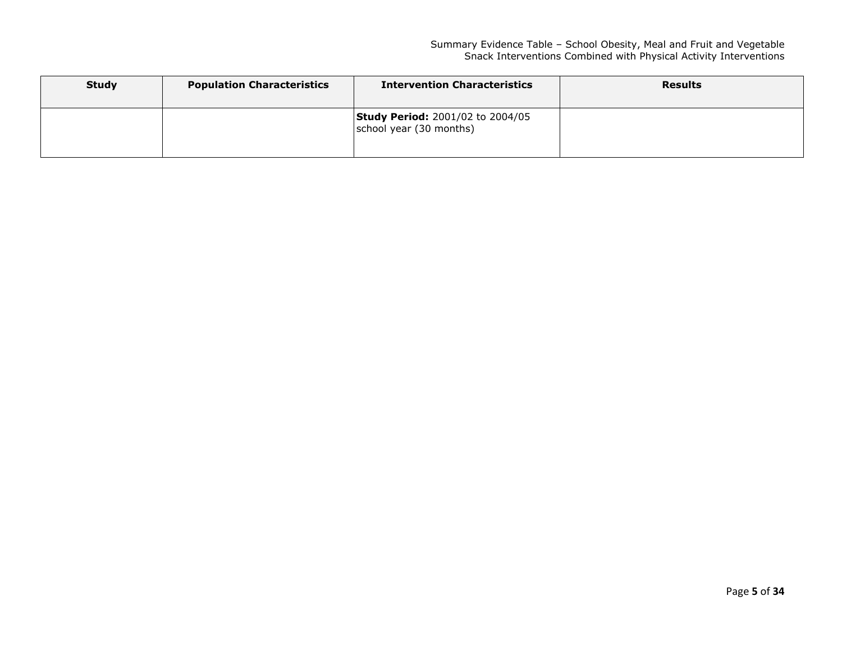| <b>Study</b> | <b>Population Characteristics</b> | <b>Intervention Characteristics</b>                                | <b>Results</b> |
|--------------|-----------------------------------|--------------------------------------------------------------------|----------------|
|              |                                   | <b>Study Period: 2001/02 to 2004/05</b><br>school year (30 months) |                |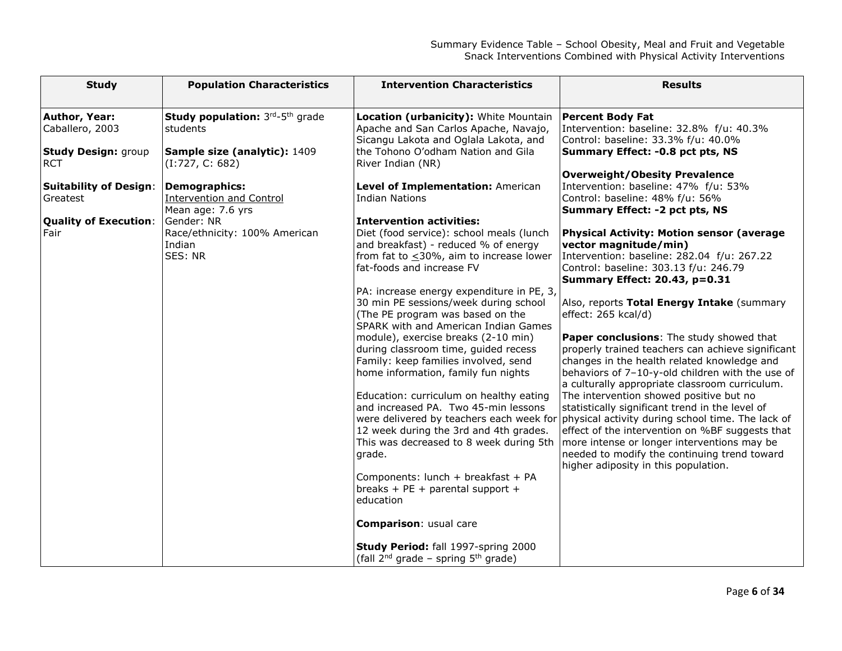| <b>Study</b>                                                                      | <b>Population Characteristics</b>                                                                                                                | <b>Intervention Characteristics</b>                                                                                                                                                                                                                                                                                                                                                                                                                                                                                                                                                                                                                                                                                                                                                                                                                                                                  | <b>Results</b>                                                                                                                                                                                                                                                                                                                                                                                                                                                                                                                                                                                                                                                                                                                                                                                                                                                                                                                                                                                                                                                                 |
|-----------------------------------------------------------------------------------|--------------------------------------------------------------------------------------------------------------------------------------------------|------------------------------------------------------------------------------------------------------------------------------------------------------------------------------------------------------------------------------------------------------------------------------------------------------------------------------------------------------------------------------------------------------------------------------------------------------------------------------------------------------------------------------------------------------------------------------------------------------------------------------------------------------------------------------------------------------------------------------------------------------------------------------------------------------------------------------------------------------------------------------------------------------|--------------------------------------------------------------------------------------------------------------------------------------------------------------------------------------------------------------------------------------------------------------------------------------------------------------------------------------------------------------------------------------------------------------------------------------------------------------------------------------------------------------------------------------------------------------------------------------------------------------------------------------------------------------------------------------------------------------------------------------------------------------------------------------------------------------------------------------------------------------------------------------------------------------------------------------------------------------------------------------------------------------------------------------------------------------------------------|
| Author, Year:<br>Caballero, 2003<br><b>Study Design: group</b><br><b>RCT</b>      | Study population: 3rd-5th grade<br>students<br>Sample size (analytic): 1409<br>(I:727, C: 682)                                                   | <b>Location (urbanicity):</b> White Mountain<br>Apache and San Carlos Apache, Navajo,<br>Sicangu Lakota and Oglala Lakota, and<br>the Tohono O'odham Nation and Gila<br>River Indian (NR)                                                                                                                                                                                                                                                                                                                                                                                                                                                                                                                                                                                                                                                                                                            | <b>Percent Body Fat</b><br>Intervention: baseline: 32.8% f/u: 40.3%<br>Control: baseline: 33.3% f/u: 40.0%<br>Summary Effect: -0.8 pct pts, NS                                                                                                                                                                                                                                                                                                                                                                                                                                                                                                                                                                                                                                                                                                                                                                                                                                                                                                                                 |
| <b>Suitability of Design:</b><br>Greatest<br><b>Quality of Execution:</b><br>Fair | <b>Demographics:</b><br><b>Intervention and Control</b><br>Mean age: 7.6 yrs<br>Gender: NR<br>Race/ethnicity: 100% American<br>Indian<br>SES: NR | Level of Implementation: American<br><b>Indian Nations</b><br><b>Intervention activities:</b><br>Diet (food service): school meals (lunch<br>and breakfast) - reduced % of energy<br>from fat to $\leq$ 30%, aim to increase lower<br>fat-foods and increase FV<br>PA: increase energy expenditure in PE, 3,<br>30 min PE sessions/week during school<br>(The PE program was based on the<br>SPARK with and American Indian Games<br>module), exercise breaks (2-10 min)<br>during classroom time, guided recess<br>Family: keep families involved, send<br>home information, family fun nights<br>Education: curriculum on healthy eating<br>and increased PA. Two 45-min lessons<br>12 week during the 3rd and 4th grades.<br>This was decreased to 8 week during 5th<br>grade.<br>Components: lunch + breakfast + PA<br>breaks + $PE$ + parental support +<br>education<br>Comparison: usual care | <b>Overweight/Obesity Prevalence</b><br>Intervention: baseline: 47% f/u: 53%<br>Control: baseline: 48% f/u: 56%<br>Summary Effect: -2 pct pts, NS<br><b>Physical Activity: Motion sensor (average</b><br>vector magnitude/min)<br>Intervention: baseline: 282.04 f/u: 267.22<br>Control: baseline: 303.13 f/u: 246.79<br><b>Summary Effect: 20.43, p=0.31</b><br>Also, reports Total Energy Intake (summary<br>effect: 265 kcal/d)<br>Paper conclusions: The study showed that<br>properly trained teachers can achieve significant<br>changes in the health related knowledge and<br>behaviors of 7-10-y-old children with the use of<br>a culturally appropriate classroom curriculum.<br>The intervention showed positive but no<br>statistically significant trend in the level of<br>were delivered by teachers each week for physical activity during school time. The lack of<br>effect of the intervention on %BF suggests that<br>more intense or longer interventions may be<br>needed to modify the continuing trend toward<br>higher adiposity in this population. |
|                                                                                   |                                                                                                                                                  | Study Period: fall 1997-spring 2000<br>(fall $2^{nd}$ grade – spring $5^{th}$ grade)                                                                                                                                                                                                                                                                                                                                                                                                                                                                                                                                                                                                                                                                                                                                                                                                                 |                                                                                                                                                                                                                                                                                                                                                                                                                                                                                                                                                                                                                                                                                                                                                                                                                                                                                                                                                                                                                                                                                |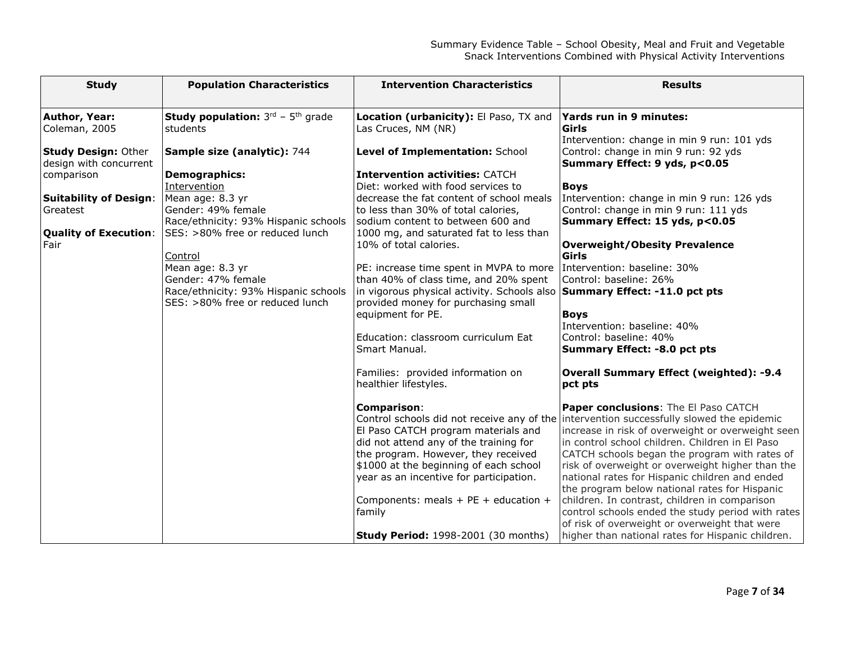| <b>Study</b>                   | <b>Population Characteristics</b>                              | <b>Intervention Characteristics</b>                                       | <b>Results</b>                                                                           |
|--------------------------------|----------------------------------------------------------------|---------------------------------------------------------------------------|------------------------------------------------------------------------------------------|
|                                |                                                                |                                                                           |                                                                                          |
| Author, Year:<br>Coleman, 2005 | <b>Study population:</b> $3^{rd}$ - $5^{th}$ grade<br>students | Location (urbanicity): El Paso, TX and<br>Las Cruces, NM (NR)             | Yards run in 9 minutes:<br>Girls                                                         |
|                                |                                                                |                                                                           | Intervention: change in min 9 run: 101 yds                                               |
| <b>Study Design: Other</b>     | Sample size (analytic): 744                                    | Level of Implementation: School                                           | Control: change in min 9 run: 92 yds                                                     |
| design with concurrent         |                                                                |                                                                           | Summary Effect: 9 yds, p<0.05                                                            |
| comparison                     | <b>Demographics:</b>                                           | <b>Intervention activities: CATCH</b>                                     |                                                                                          |
|                                | Intervention                                                   | Diet: worked with food services to                                        | <b>Boys</b>                                                                              |
| <b>Suitability of Design:</b>  | Mean age: 8.3 yr                                               | decrease the fat content of school meals                                  | Intervention: change in min 9 run: 126 yds                                               |
| Greatest                       | Gender: 49% female                                             | to less than 30% of total calories,                                       | Control: change in min 9 run: 111 yds                                                    |
|                                | Race/ethnicity: 93% Hispanic schools                           | sodium content to between 600 and                                         | Summary Effect: 15 yds, p<0.05                                                           |
| <b>Quality of Execution:</b>   | SES: >80% free or reduced lunch                                | 1000 mg, and saturated fat to less than                                   |                                                                                          |
| Fair                           |                                                                | 10% of total calories.                                                    | <b>Overweight/Obesity Prevalence</b>                                                     |
|                                | Control                                                        |                                                                           | Girls                                                                                    |
|                                | Mean age: 8.3 yr                                               | PE: increase time spent in MVPA to more   Intervention: baseline: 30%     |                                                                                          |
|                                | Gender: 47% female                                             | than 40% of class time, and 20% spent                                     | Control: baseline: 26%                                                                   |
|                                | Race/ethnicity: 93% Hispanic schools                           | in vigorous physical activity. Schools also Summary Effect: -11.0 pct pts |                                                                                          |
|                                | SES: >80% free or reduced lunch                                | provided money for purchasing small                                       |                                                                                          |
|                                |                                                                | equipment for PE.                                                         | <b>Boys</b>                                                                              |
|                                |                                                                |                                                                           | Intervention: baseline: 40%                                                              |
|                                |                                                                | Education: classroom curriculum Eat                                       | Control: baseline: 40%                                                                   |
|                                |                                                                | Smart Manual.                                                             | Summary Effect: -8.0 pct pts                                                             |
|                                |                                                                | Families: provided information on                                         | <b>Overall Summary Effect (weighted): -9.4</b>                                           |
|                                |                                                                | healthier lifestyles.                                                     | pct pts                                                                                  |
|                                |                                                                | Comparison:                                                               | <b>Paper conclusions:</b> The El Paso CATCH                                              |
|                                |                                                                |                                                                           | Control schools did not receive any of the intervention successfully slowed the epidemic |
|                                |                                                                | El Paso CATCH program materials and                                       | increase in risk of overweight or overweight seen                                        |
|                                |                                                                | did not attend any of the training for                                    | in control school children. Children in El Paso                                          |
|                                |                                                                | the program. However, they received                                       | CATCH schools began the program with rates of                                            |
|                                |                                                                | \$1000 at the beginning of each school                                    | risk of overweight or overweight higher than the                                         |
|                                |                                                                | year as an incentive for participation.                                   | national rates for Hispanic children and ended                                           |
|                                |                                                                |                                                                           | the program below national rates for Hispanic                                            |
|                                |                                                                | Components: meals + PE + education +                                      | children. In contrast, children in comparison                                            |
|                                |                                                                | family                                                                    | control schools ended the study period with rates                                        |
|                                |                                                                |                                                                           | of risk of overweight or overweight that were                                            |
|                                |                                                                | <b>Study Period:</b> 1998-2001 (30 months)                                | higher than national rates for Hispanic children.                                        |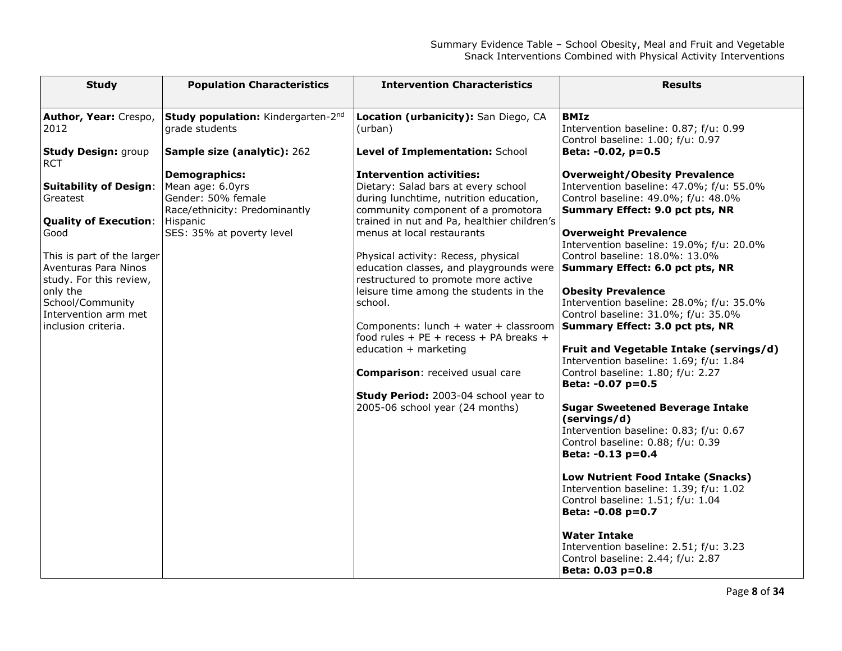| <b>Study</b>                             | <b>Population Characteristics</b>         | <b>Intervention Characteristics</b>                                               | <b>Results</b>                                                              |
|------------------------------------------|-------------------------------------------|-----------------------------------------------------------------------------------|-----------------------------------------------------------------------------|
|                                          |                                           |                                                                                   |                                                                             |
| Author, Year: Crespo,                    | Study population: Kindergarten-2nd        | Location (urbanicity): San Diego, CA                                              | <b>BMIz</b>                                                                 |
| 2012                                     | grade students                            | (urban)                                                                           | Intervention baseline: 0.87; f/u: 0.99<br>Control baseline: 1.00; f/u: 0.97 |
| <b>Study Design: group</b><br><b>RCT</b> | Sample size (analytic): 262               | Level of Implementation: School                                                   | Beta: -0.02, p=0.5                                                          |
|                                          | <b>Demographics:</b>                      | <b>Intervention activities:</b>                                                   | <b>Overweight/Obesity Prevalence</b>                                        |
| <b>Suitability of Design:</b>            | Mean age: 6.0yrs                          | Dietary: Salad bars at every school                                               | Intervention baseline: 47.0%; f/u: 55.0%                                    |
| Greatest                                 | Gender: 50% female                        | during lunchtime, nutrition education,                                            | Control baseline: 49.0%; f/u: 48.0%                                         |
| <b>Quality of Execution:</b>             | Race/ethnicity: Predominantly<br>Hispanic | community component of a promotora<br>trained in nut and Pa, healthier children's | Summary Effect: 9.0 pct pts, NR                                             |
| Good                                     | SES: 35% at poverty level                 | menus at local restaurants                                                        | <b>Overweight Prevalence</b>                                                |
|                                          |                                           |                                                                                   | Intervention baseline: 19.0%; f/u: 20.0%                                    |
| This is part of the larger               |                                           | Physical activity: Recess, physical                                               | Control baseline: 18.0%: 13.0%                                              |
| Aventuras Para Ninos                     |                                           | education classes, and playgrounds were                                           | Summary Effect: 6.0 pct pts, NR                                             |
| study. For this review,                  |                                           | restructured to promote more active                                               |                                                                             |
| only the<br>School/Community             |                                           | leisure time among the students in the<br>school.                                 | <b>Obesity Prevalence</b><br>Intervention baseline: 28.0%; f/u: 35.0%       |
| Intervention arm met                     |                                           |                                                                                   | Control baseline: 31.0%; f/u: 35.0%                                         |
| inclusion criteria.                      |                                           | Components: lunch + water + classroom                                             | Summary Effect: 3.0 pct pts, NR                                             |
|                                          |                                           | food rules + PE + recess + PA breaks +                                            |                                                                             |
|                                          |                                           | education + marketing                                                             | Fruit and Vegetable Intake (servings/d)                                     |
|                                          |                                           |                                                                                   | Intervention baseline: 1.69; f/u: 1.84                                      |
|                                          |                                           | <b>Comparison:</b> received usual care                                            | Control baseline: 1.80; f/u: 2.27<br>Beta: -0.07 p=0.5                      |
|                                          |                                           | Study Period: 2003-04 school year to                                              |                                                                             |
|                                          |                                           | 2005-06 school year (24 months)                                                   | <b>Sugar Sweetened Beverage Intake</b>                                      |
|                                          |                                           |                                                                                   | (servings/d)                                                                |
|                                          |                                           |                                                                                   | Intervention baseline: 0.83; f/u: 0.67                                      |
|                                          |                                           |                                                                                   | Control baseline: 0.88; f/u: 0.39                                           |
|                                          |                                           |                                                                                   | Beta: -0.13 p=0.4                                                           |
|                                          |                                           |                                                                                   | Low Nutrient Food Intake (Snacks)                                           |
|                                          |                                           |                                                                                   | Intervention baseline: 1.39; f/u: 1.02                                      |
|                                          |                                           |                                                                                   | Control baseline: 1.51; f/u: 1.04                                           |
|                                          |                                           |                                                                                   | Beta: -0.08 p=0.7                                                           |
|                                          |                                           |                                                                                   |                                                                             |
|                                          |                                           |                                                                                   | <b>Water Intake</b><br>Intervention baseline: 2.51; f/u: 3.23               |
|                                          |                                           |                                                                                   | Control baseline: 2.44; f/u: 2.87                                           |
|                                          |                                           |                                                                                   | Beta: 0.03 p=0.8                                                            |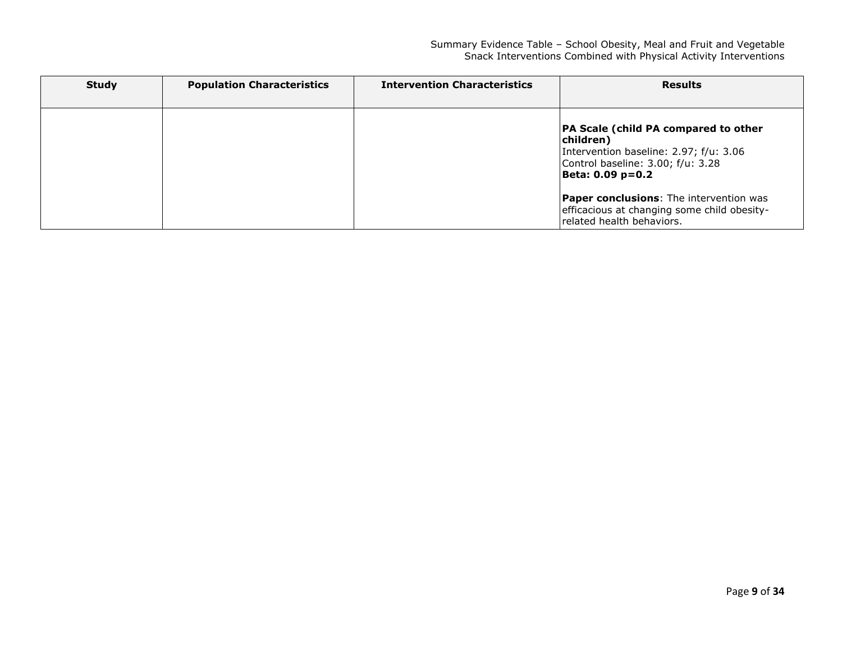| <b>Study</b> | <b>Population Characteristics</b> | <b>Intervention Characteristics</b> | <b>Results</b>                                                                                                                                       |
|--------------|-----------------------------------|-------------------------------------|------------------------------------------------------------------------------------------------------------------------------------------------------|
|              |                                   |                                     | PA Scale (child PA compared to other<br>children)<br>Intervention baseline: 2.97; f/u: 3.06<br>Control baseline: 3.00; f/u: 3.28<br>Beta: 0.09 p=0.2 |
|              |                                   |                                     | <b>Paper conclusions:</b> The intervention was<br>efficacious at changing some child obesity-<br>related health behaviors.                           |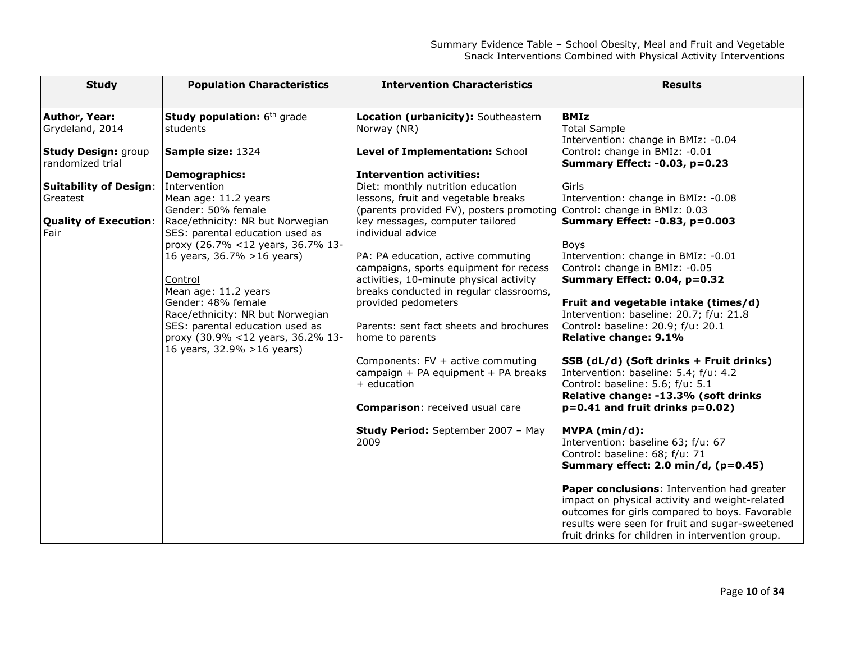| <b>Study</b>                                   | <b>Population Characteristics</b>                                                                                                                                                                                                                                                                                                           | <b>Intervention Characteristics</b>                                                                                                                                                                                                                                                                                                                                                                                                                  | <b>Results</b>                                                                                                                                                                                                                                                                                                                                                                                                                                                                                            |
|------------------------------------------------|---------------------------------------------------------------------------------------------------------------------------------------------------------------------------------------------------------------------------------------------------------------------------------------------------------------------------------------------|------------------------------------------------------------------------------------------------------------------------------------------------------------------------------------------------------------------------------------------------------------------------------------------------------------------------------------------------------------------------------------------------------------------------------------------------------|-----------------------------------------------------------------------------------------------------------------------------------------------------------------------------------------------------------------------------------------------------------------------------------------------------------------------------------------------------------------------------------------------------------------------------------------------------------------------------------------------------------|
| Author, Year:<br>Grydeland, 2014               | Study population: 6th grade<br>students                                                                                                                                                                                                                                                                                                     | Location (urbanicity): Southeastern<br>Norway (NR)                                                                                                                                                                                                                                                                                                                                                                                                   | <b>BMIz</b><br><b>Total Sample</b>                                                                                                                                                                                                                                                                                                                                                                                                                                                                        |
| <b>Study Design: group</b><br>randomized trial | Sample size: 1324                                                                                                                                                                                                                                                                                                                           | Level of Implementation: School                                                                                                                                                                                                                                                                                                                                                                                                                      | Intervention: change in BMIz: -0.04<br>Control: change in BMIz: -0.01<br>Summary Effect: -0.03, p=0.23                                                                                                                                                                                                                                                                                                                                                                                                    |
| <b>Suitability of Design:</b><br>Greatest      | <b>Demographics:</b><br>Intervention<br>Mean age: 11.2 years<br>Gender: 50% female                                                                                                                                                                                                                                                          | <b>Intervention activities:</b><br>Diet: monthly nutrition education<br>lessons, fruit and vegetable breaks<br>(parents provided FV), posters promoting Control: change in BMIz: 0.03                                                                                                                                                                                                                                                                | Girls<br>Intervention: change in BMIz: -0.08                                                                                                                                                                                                                                                                                                                                                                                                                                                              |
| <b>Quality of Execution:</b><br>Fair           | Race/ethnicity: NR but Norwegian<br>SES: parental education used as<br>proxy (26.7% <12 years, 36.7% 13-<br>16 years, 36.7% > 16 years)<br>Control<br>Mean age: 11.2 years<br>Gender: 48% female<br>Race/ethnicity: NR but Norwegian<br>SES: parental education used as<br>proxy (30.9% <12 years, 36.2% 13-<br>16 years, 32.9% > 16 years) | key messages, computer tailored<br>individual advice<br>PA: PA education, active commuting<br>campaigns, sports equipment for recess<br>activities, 10-minute physical activity<br>breaks conducted in regular classrooms,<br>provided pedometers<br>Parents: sent fact sheets and brochures<br>home to parents<br>Components: FV + active commuting<br>campaign + PA equipment + PA breaks<br>+ education<br><b>Comparison:</b> received usual care | Summary Effect: -0.83, p=0.003<br>Boys<br>Intervention: change in BMIz: -0.01<br>Control: change in BMIz: -0.05<br>Summary Effect: 0.04, p=0.32<br>Fruit and vegetable intake (times/d)<br>Intervention: baseline: 20.7; f/u: 21.8<br>Control: baseline: 20.9; f/u: 20.1<br>Relative change: 9.1%<br>SSB (dL/d) (Soft drinks + Fruit drinks)<br>Intervention: baseline: 5.4; f/u: 4.2<br>Control: baseline: 5.6; f/u: 5.1<br>Relative change: -13.3% (soft drinks<br>$p=0.41$ and fruit drinks $p=0.02$ ) |
|                                                |                                                                                                                                                                                                                                                                                                                                             | Study Period: September 2007 - May<br>2009                                                                                                                                                                                                                                                                                                                                                                                                           | MVPA (min/d):<br>Intervention: baseline 63; f/u: 67<br>Control: baseline: 68; f/u: 71<br>Summary effect: 2.0 min/d, (p=0.45)<br>Paper conclusions: Intervention had greater<br>impact on physical activity and weight-related<br>outcomes for girls compared to boys. Favorable<br>results were seen for fruit and sugar-sweetened<br>fruit drinks for children in intervention group.                                                                                                                    |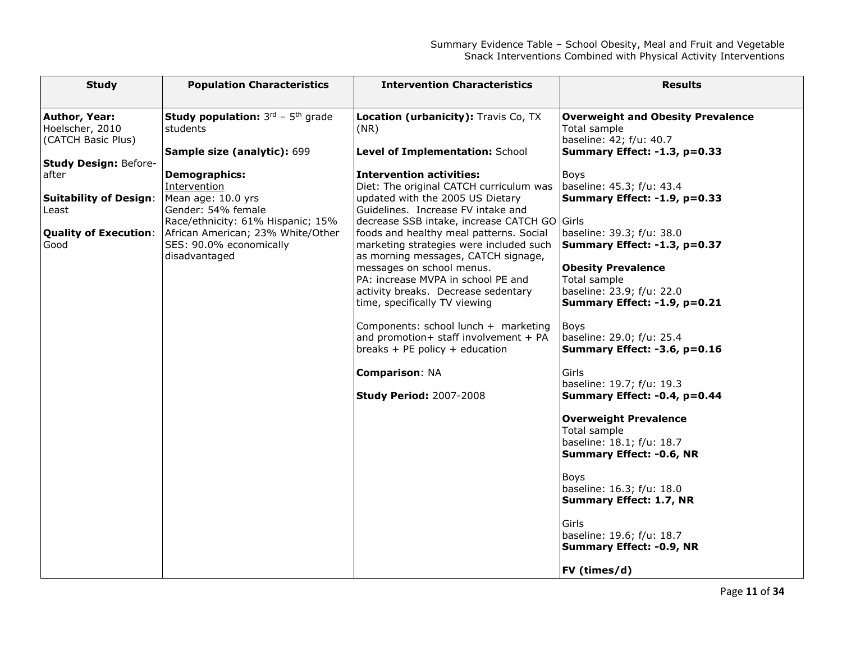| <b>Study</b>                     | <b>Population Characteristics</b>                              | <b>Intervention Characteristics</b>                                                | <b>Results</b>                                            |
|----------------------------------|----------------------------------------------------------------|------------------------------------------------------------------------------------|-----------------------------------------------------------|
| Author, Year:<br>Hoelscher, 2010 | <b>Study population:</b> $3^{rd}$ - $5^{th}$ grade<br>students | Location (urbanicity): Travis Co, TX<br>(NR)                                       | <b>Overweight and Obesity Prevalence</b><br>Total sample  |
| (CATCH Basic Plus)               | Sample size (analytic): 699                                    | Level of Implementation: School                                                    | baseline: 42; f/u: 40.7<br>Summary Effect: -1.3, p=0.33   |
| <b>Study Design: Before-</b>     |                                                                |                                                                                    |                                                           |
| after                            | <b>Demographics:</b>                                           | <b>Intervention activities:</b>                                                    | <b>Boys</b>                                               |
|                                  | Intervention                                                   | Diet: The original CATCH curriculum was                                            | baseline: 45.3; f/u: 43.4                                 |
| <b>Suitability of Design:</b>    | Mean age: 10.0 yrs                                             | updated with the 2005 US Dietary                                                   | Summary Effect: -1.9, p=0.33                              |
| Least                            | Gender: 54% female<br>Race/ethnicity: 61% Hispanic; 15%        | Guidelines. Increase FV intake and<br>decrease SSB intake, increase CATCH GO Girls |                                                           |
| <b>Quality of Execution:</b>     | African American; 23% White/Other                              | foods and healthy meal patterns. Social                                            | baseline: 39.3; f/u: 38.0                                 |
| Good                             | SES: 90.0% economically                                        | marketing strategies were included such                                            | Summary Effect: -1.3, p=0.37                              |
|                                  | disadvantaged                                                  | as morning messages, CATCH signage,                                                |                                                           |
|                                  |                                                                | messages on school menus.                                                          | <b>Obesity Prevalence</b>                                 |
|                                  |                                                                | PA: increase MVPA in school PE and                                                 | Total sample                                              |
|                                  |                                                                | activity breaks. Decrease sedentary<br>time, specifically TV viewing               | baseline: 23.9; f/u: 22.0<br>Summary Effect: -1.9, p=0.21 |
|                                  |                                                                |                                                                                    |                                                           |
|                                  |                                                                | Components: school lunch + marketing                                               | Boys                                                      |
|                                  |                                                                | and promotion+ staff involvement + $PA$                                            | baseline: 29.0; f/u: 25.4                                 |
|                                  |                                                                | breaks + PE policy + education                                                     | Summary Effect: -3.6, p=0.16                              |
|                                  |                                                                | <b>Comparison: NA</b>                                                              | Girls                                                     |
|                                  |                                                                |                                                                                    | baseline: 19.7; f/u: 19.3                                 |
|                                  |                                                                | <b>Study Period: 2007-2008</b>                                                     | Summary Effect: -0.4, p=0.44                              |
|                                  |                                                                |                                                                                    | <b>Overweight Prevalence</b>                              |
|                                  |                                                                |                                                                                    | Total sample                                              |
|                                  |                                                                |                                                                                    | baseline: 18.1; f/u: 18.7                                 |
|                                  |                                                                |                                                                                    | <b>Summary Effect: -0.6, NR</b>                           |
|                                  |                                                                |                                                                                    | <b>Boys</b>                                               |
|                                  |                                                                |                                                                                    | baseline: 16.3; f/u: 18.0                                 |
|                                  |                                                                |                                                                                    | <b>Summary Effect: 1.7, NR</b>                            |
|                                  |                                                                |                                                                                    | Girls                                                     |
|                                  |                                                                |                                                                                    | baseline: 19.6; f/u: 18.7                                 |
|                                  |                                                                |                                                                                    | <b>Summary Effect: -0.9, NR</b>                           |
|                                  |                                                                |                                                                                    |                                                           |
|                                  |                                                                |                                                                                    | FV (times/d)                                              |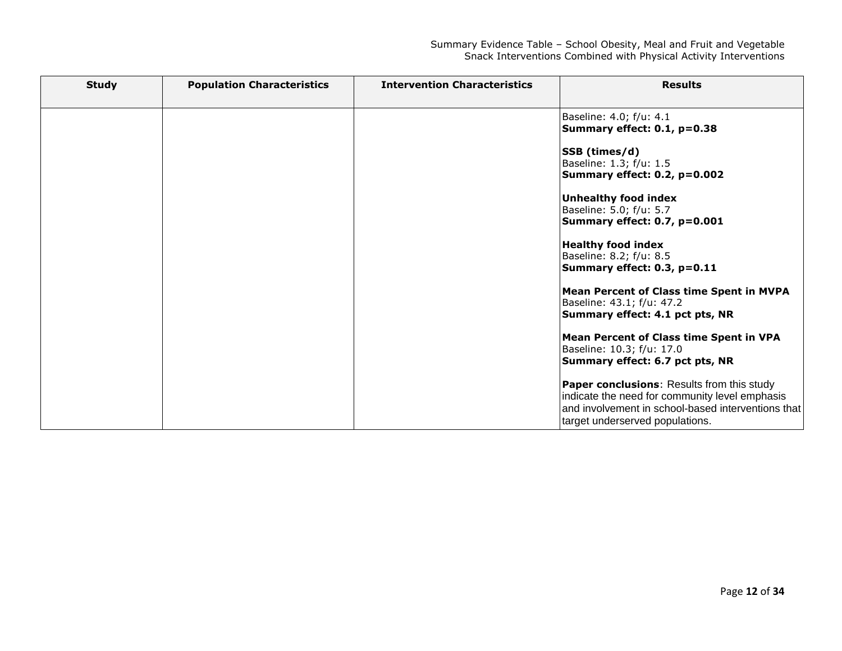| <b>Study</b> | <b>Population Characteristics</b> | <b>Intervention Characteristics</b> | <b>Results</b>                                                                                                                                                                               |
|--------------|-----------------------------------|-------------------------------------|----------------------------------------------------------------------------------------------------------------------------------------------------------------------------------------------|
|              |                                   |                                     | Baseline: 4.0; f/u: 4.1<br>Summary effect: 0.1, p=0.38                                                                                                                                       |
|              |                                   |                                     | SSB (times/d)<br>Baseline: 1.3; f/u: 1.5<br>Summary effect: 0.2, p=0.002                                                                                                                     |
|              |                                   |                                     | <b>Unhealthy food index</b><br>Baseline: 5.0; f/u: 5.7<br>Summary effect: 0.7, p=0.001                                                                                                       |
|              |                                   |                                     | <b>Healthy food index</b><br>Baseline: 8.2; f/u: 8.5<br>Summary effect: 0.3, p=0.11                                                                                                          |
|              |                                   |                                     | <b>Mean Percent of Class time Spent in MVPA</b><br>Baseline: 43.1; f/u: 47.2<br>Summary effect: 4.1 pct pts, NR                                                                              |
|              |                                   |                                     | <b>Mean Percent of Class time Spent in VPA</b><br>Baseline: 10.3; f/u: 17.0<br>Summary effect: 6.7 pct pts, NR                                                                               |
|              |                                   |                                     | <b>Paper conclusions: Results from this study</b><br>indicate the need for community level emphasis<br>and involvement in school-based interventions that<br>target underserved populations. |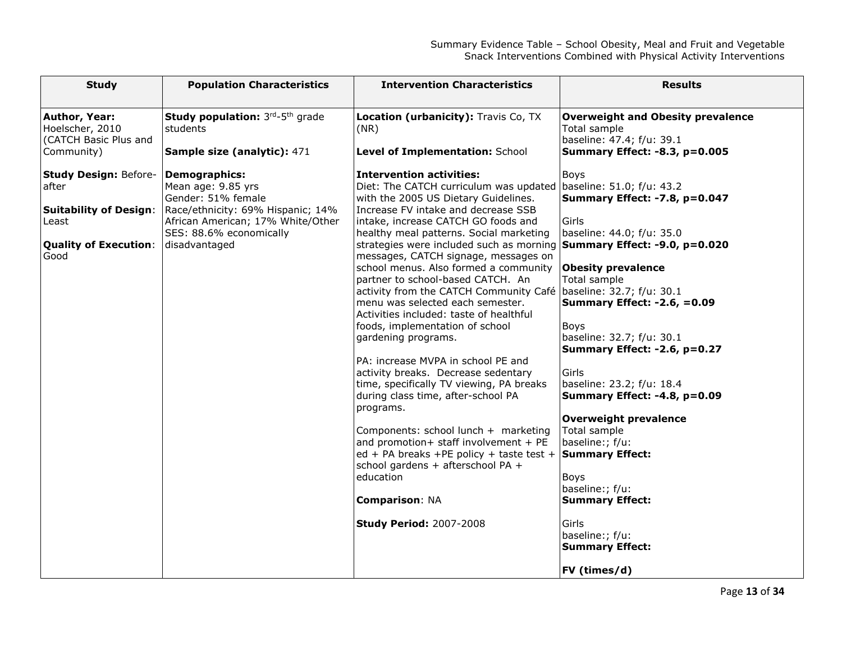| <b>Study</b>                                                                                                            | <b>Population Characteristics</b>                                                                                                                                                      | <b>Intervention Characteristics</b>                                                                                                                                                                                                                                                                                                                                                                                                                                                                                                                                                                                                                                                                                                                                                                                                                                                                                                                                                                                                                                         | <b>Results</b>                                                                                                                                                                                                                                                                                                                                                                                                                                                                                                                                                            |
|-------------------------------------------------------------------------------------------------------------------------|----------------------------------------------------------------------------------------------------------------------------------------------------------------------------------------|-----------------------------------------------------------------------------------------------------------------------------------------------------------------------------------------------------------------------------------------------------------------------------------------------------------------------------------------------------------------------------------------------------------------------------------------------------------------------------------------------------------------------------------------------------------------------------------------------------------------------------------------------------------------------------------------------------------------------------------------------------------------------------------------------------------------------------------------------------------------------------------------------------------------------------------------------------------------------------------------------------------------------------------------------------------------------------|---------------------------------------------------------------------------------------------------------------------------------------------------------------------------------------------------------------------------------------------------------------------------------------------------------------------------------------------------------------------------------------------------------------------------------------------------------------------------------------------------------------------------------------------------------------------------|
| Author, Year:<br>Hoelscher, 2010<br>(CATCH Basic Plus and<br>Community)                                                 | Study population: 3rd-5th grade<br>students<br>Sample size (analytic): 471                                                                                                             | Location (urbanicity): Travis Co, TX<br>(NR)<br>Level of Implementation: School                                                                                                                                                                                                                                                                                                                                                                                                                                                                                                                                                                                                                                                                                                                                                                                                                                                                                                                                                                                             | <b>Overweight and Obesity prevalence</b><br>Total sample<br>baseline: 47.4; f/u: 39.1<br><b>Summary Effect: -8.3, p=0.005</b>                                                                                                                                                                                                                                                                                                                                                                                                                                             |
| <b>Study Design: Before-</b><br>after<br><b>Suitability of Design:</b><br>Least<br><b>Quality of Execution:</b><br>Good | <b>Demographics:</b><br>Mean age: 9.85 yrs<br>Gender: 51% female<br>Race/ethnicity: 69% Hispanic; 14%<br>African American; 17% White/Other<br>SES: 88.6% economically<br>disadvantaged | <b>Intervention activities:</b><br>Diet: The CATCH curriculum was updated baseline: 51.0; f/u: 43.2<br>with the 2005 US Dietary Guidelines.<br>Increase FV intake and decrease SSB<br>intake, increase CATCH GO foods and<br>healthy meal patterns. Social marketing<br>strategies were included such as morning<br>messages, CATCH signage, messages on<br>school menus. Also formed a community<br>partner to school-based CATCH. An<br>activity from the CATCH Community Café   baseline: 32.7; f/u: 30.1<br>menu was selected each semester.<br>Activities included: taste of healthful<br>foods, implementation of school<br>gardening programs.<br>PA: increase MVPA in school PE and<br>activity breaks. Decrease sedentary<br>time, specifically TV viewing, PA breaks<br>during class time, after-school PA<br>programs.<br>Components: school lunch + marketing<br>and promotion+ staff involvement + PE<br>ed + PA breaks +PE policy + taste test +<br>school gardens + afterschool PA +<br>education<br><b>Comparison: NA</b><br><b>Study Period: 2007-2008</b> | Boys<br>Summary Effect: -7.8, p=0.047<br>Girls<br>baseline: 44.0; f/u: 35.0<br>Summary Effect: -9.0, p=0.020<br><b>Obesity prevalence</b><br>Total sample<br><b>Summary Effect: -2.6, =0.09</b><br>Boys<br>baseline: 32.7; f/u: 30.1<br>Summary Effect: -2.6, p=0.27<br>Girls<br>baseline: 23.2; f/u: 18.4<br>Summary Effect: -4.8, p=0.09<br><b>Overweight prevalence</b><br>Total sample<br>baseline:; f/u:<br><b>Summary Effect:</b><br><b>Boys</b><br>baseline:; f/u:<br><b>Summary Effect:</b><br>Girls<br>baseline:; f/u:<br><b>Summary Effect:</b><br>FV (times/d) |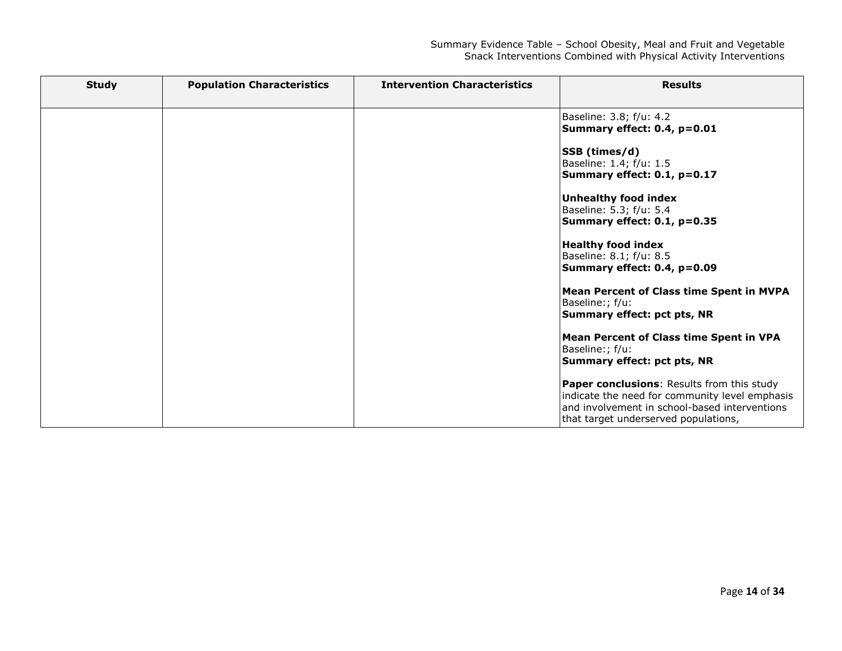| <b>Study</b> | <b>Population Characteristics</b> | <b>Intervention Characteristics</b> | <b>Results</b>                                                                                                                                                                        |
|--------------|-----------------------------------|-------------------------------------|---------------------------------------------------------------------------------------------------------------------------------------------------------------------------------------|
|              |                                   |                                     | Baseline: 3.8; f/u: 4.2<br>Summary effect: 0.4, p=0.01                                                                                                                                |
|              |                                   |                                     | SSB (times/d)<br>Baseline: 1.4; f/u: 1.5<br>Summary effect: 0.1, p=0.17                                                                                                               |
|              |                                   |                                     | Unhealthy food index<br>Baseline: 5.3; f/u: 5.4<br>Summary effect: 0.1, p=0.35                                                                                                        |
|              |                                   |                                     | <b>Healthy food index</b><br>Baseline: 8.1; f/u: 8.5<br>Summary effect: 0.4, p=0.09                                                                                                   |
|              |                                   |                                     | <b>Mean Percent of Class time Spent in MVPA</b><br>Baseline:; f/u:<br>Summary effect: pct pts, NR                                                                                     |
|              |                                   |                                     | <b>Mean Percent of Class time Spent in VPA</b><br>Baseline:; f/u:<br>Summary effect: pct pts, NR                                                                                      |
|              |                                   |                                     | Paper conclusions: Results from this study<br>indicate the need for community level emphasis<br>and involvement in school-based interventions<br>that target underserved populations, |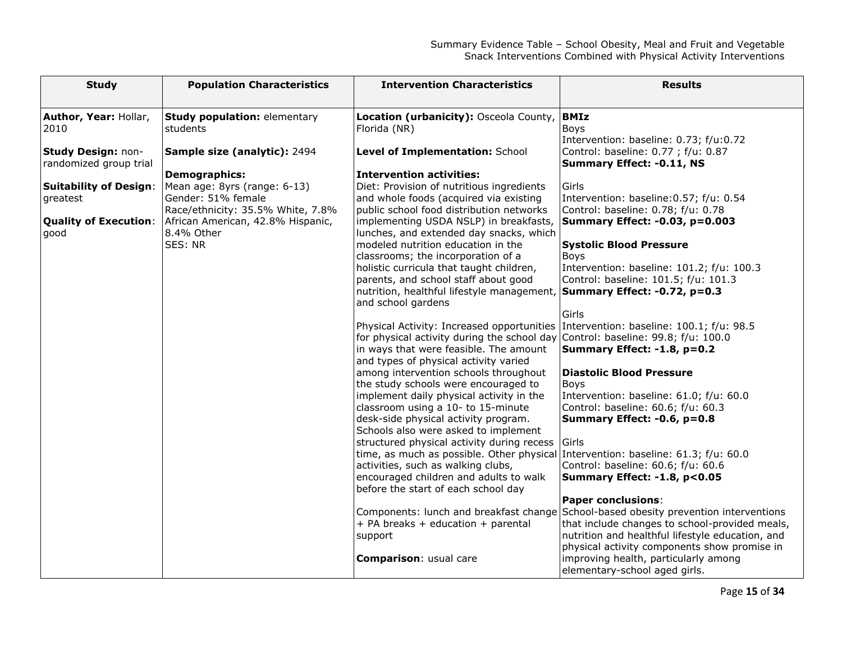| <b>Study</b>                                 | <b>Population Characteristics</b>                                                                                                                         | <b>Intervention Characteristics</b>                                                                                                                                       | <b>Results</b>                                                                                                                         |
|----------------------------------------------|-----------------------------------------------------------------------------------------------------------------------------------------------------------|---------------------------------------------------------------------------------------------------------------------------------------------------------------------------|----------------------------------------------------------------------------------------------------------------------------------------|
| Author, Year: Hollar,                        | <b>Study population: elementary</b>                                                                                                                       | Location (urbanicity): Osceola County, BMIz                                                                                                                               |                                                                                                                                        |
| 2010                                         | students                                                                                                                                                  | Florida (NR)                                                                                                                                                              | <b>Boys</b>                                                                                                                            |
| Study Design: non-<br>randomized group trial | Sample size (analytic): 2494                                                                                                                              | Level of Implementation: School                                                                                                                                           | Intervention: baseline: 0.73; f/u:0.72<br>Control: baseline: 0.77 ; f/u: 0.87<br><b>Summary Effect: -0.11, NS</b>                      |
|                                              | Demographics:                                                                                                                                             | <b>Intervention activities:</b>                                                                                                                                           |                                                                                                                                        |
| <b>Suitability of Design:</b><br>greatest    | Mean age: 8yrs (range: 6-13)<br>Gender: 51% female<br>Race/ethnicity: 35.5% White, 7.8%<br><b>Quality of Execution:</b> African American, 42.8% Hispanic, | Diet: Provision of nutritious ingredients<br>and whole foods (acquired via existing<br>public school food distribution networks<br>implementing USDA NSLP) in breakfasts, | Girls<br>Intervention: baseline: 0.57; f/u: 0.54<br>Control: baseline: 0.78; f/u: 0.78<br>Summary Effect: -0.03, p=0.003               |
| good                                         | 8.4% Other                                                                                                                                                | lunches, and extended day snacks, which                                                                                                                                   |                                                                                                                                        |
|                                              | SES: NR                                                                                                                                                   | modeled nutrition education in the                                                                                                                                        | <b>Systolic Blood Pressure</b>                                                                                                         |
|                                              |                                                                                                                                                           | classrooms; the incorporation of a                                                                                                                                        | <b>Boys</b>                                                                                                                            |
|                                              |                                                                                                                                                           | holistic curricula that taught children,<br>parents, and school staff about good                                                                                          | Intervention: baseline: 101.2; f/u: 100.3<br>Control: baseline: 101.5; f/u: 101.3                                                      |
|                                              |                                                                                                                                                           | nutrition, healthful lifestyle management, Summary Effect: -0.72, p=0.3<br>and school gardens                                                                             |                                                                                                                                        |
|                                              |                                                                                                                                                           |                                                                                                                                                                           | Girls                                                                                                                                  |
|                                              |                                                                                                                                                           | Physical Activity: Increased opportunities Intervention: baseline: 100.1; f/u: 98.5                                                                                       |                                                                                                                                        |
|                                              |                                                                                                                                                           | for physical activity during the school day Control: baseline: 99.8; f/u: 100.0<br>in ways that were feasible. The amount                                                 | Summary Effect: -1.8, p=0.2                                                                                                            |
|                                              |                                                                                                                                                           | and types of physical activity varied                                                                                                                                     |                                                                                                                                        |
|                                              |                                                                                                                                                           | among intervention schools throughout<br>the study schools were encouraged to                                                                                             | <b>Diastolic Blood Pressure</b><br>Boys                                                                                                |
|                                              |                                                                                                                                                           | implement daily physical activity in the                                                                                                                                  | Intervention: baseline: 61.0; f/u: 60.0                                                                                                |
|                                              |                                                                                                                                                           | classroom using a 10- to 15-minute                                                                                                                                        | Control: baseline: 60.6; f/u: 60.3                                                                                                     |
|                                              |                                                                                                                                                           | desk-side physical activity program.<br>Schools also were asked to implement                                                                                              | Summary Effect: -0.6, p=0.8                                                                                                            |
|                                              |                                                                                                                                                           | structured physical activity during recess                                                                                                                                | Girls                                                                                                                                  |
|                                              |                                                                                                                                                           | time, as much as possible. Other physical Intervention: baseline: 61.3; f/u: 60.0                                                                                         |                                                                                                                                        |
|                                              |                                                                                                                                                           | activities, such as walking clubs,<br>encouraged children and adults to walk                                                                                              | Control: baseline: 60.6; f/u: 60.6<br>Summary Effect: -1.8, p<0.05                                                                     |
|                                              |                                                                                                                                                           | before the start of each school day                                                                                                                                       |                                                                                                                                        |
|                                              |                                                                                                                                                           |                                                                                                                                                                           | <b>Paper conclusions:</b>                                                                                                              |
|                                              |                                                                                                                                                           | + PA breaks + education + parental                                                                                                                                        | Components: lunch and breakfast change School-based obesity prevention interventions<br>that include changes to school-provided meals, |
|                                              |                                                                                                                                                           | support                                                                                                                                                                   | nutrition and healthful lifestyle education, and                                                                                       |
|                                              |                                                                                                                                                           | Comparison: usual care                                                                                                                                                    | physical activity components show promise in<br>improving health, particularly among<br>elementary-school aged girls.                  |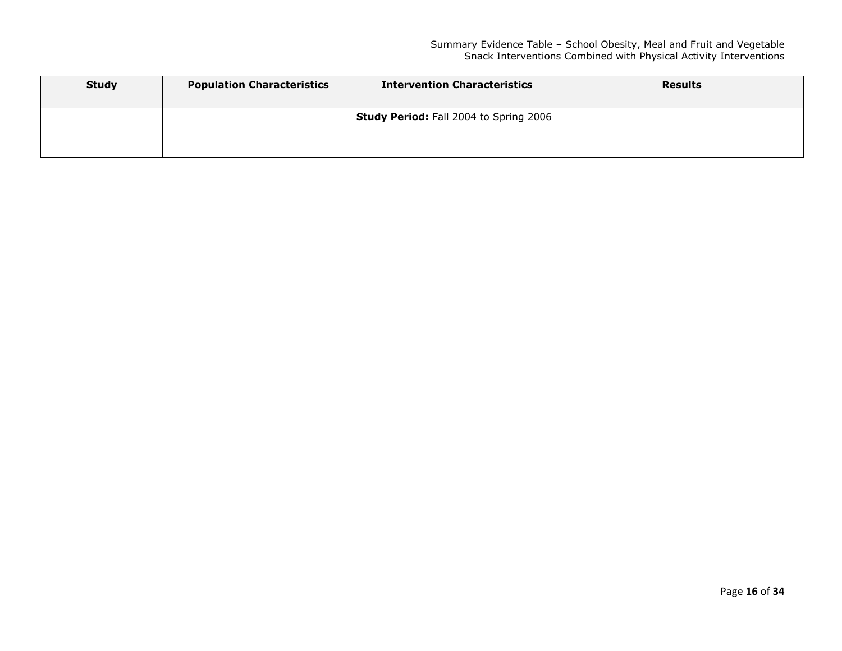| <b>Study</b> | <b>Population Characteristics</b> | <b>Intervention Characteristics</b>           | <b>Results</b> |
|--------------|-----------------------------------|-----------------------------------------------|----------------|
|              |                                   | <b>Study Period:</b> Fall 2004 to Spring 2006 |                |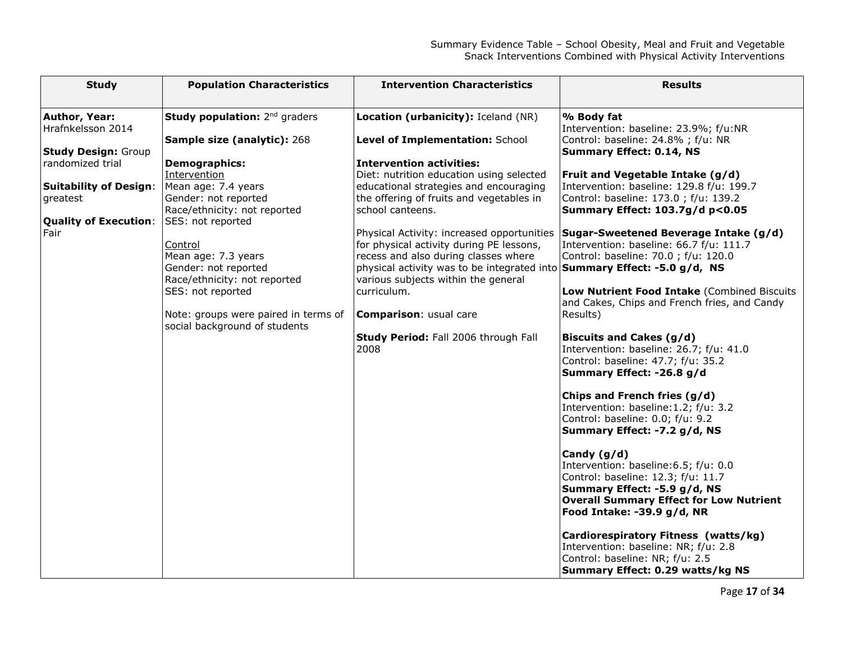| <b>Study</b>                                                                                                                                                                         | <b>Population Characteristics</b>                                                                                                                                                                                                                                                                                                                                                       | <b>Intervention Characteristics</b>                                                                                                                                                                                                                                                                                                                                                                                                                                                                                                                                                                                  | <b>Results</b>                                                                                                                                                                                                                                                                                                                                                                                                                                                                                                                                                                                                                                                                                                                                                                         |
|--------------------------------------------------------------------------------------------------------------------------------------------------------------------------------------|-----------------------------------------------------------------------------------------------------------------------------------------------------------------------------------------------------------------------------------------------------------------------------------------------------------------------------------------------------------------------------------------|----------------------------------------------------------------------------------------------------------------------------------------------------------------------------------------------------------------------------------------------------------------------------------------------------------------------------------------------------------------------------------------------------------------------------------------------------------------------------------------------------------------------------------------------------------------------------------------------------------------------|----------------------------------------------------------------------------------------------------------------------------------------------------------------------------------------------------------------------------------------------------------------------------------------------------------------------------------------------------------------------------------------------------------------------------------------------------------------------------------------------------------------------------------------------------------------------------------------------------------------------------------------------------------------------------------------------------------------------------------------------------------------------------------------|
| Author, Year:<br>Hrafnkelsson 2014<br><b>Study Design: Group</b><br>randomized trial<br><b>Suitability of Design:</b><br>greatest<br>Quality of Execution: SES: not reported<br>Fair | Study population: 2 <sup>nd</sup> graders<br>Sample size (analytic): 268<br><b>Demographics:</b><br>Intervention<br>Mean age: 7.4 years<br>Gender: not reported<br>Race/ethnicity: not reported<br>Control<br>Mean age: 7.3 years<br>Gender: not reported<br>Race/ethnicity: not reported<br>SES: not reported<br>Note: groups were paired in terms of<br>social background of students | Location (urbanicity): Iceland (NR)<br>Level of Implementation: School<br><b>Intervention activities:</b><br>Diet: nutrition education using selected<br>educational strategies and encouraging<br>the offering of fruits and vegetables in<br>school canteens.<br>Physical Activity: increased opportunities<br>for physical activity during PE lessons,<br>recess and also during classes where<br>physical activity was to be integrated into <b>Summary Effect: -5.0 g/d, NS</b><br>various subjects within the general<br>curriculum.<br>Comparison: usual care<br>Study Period: Fall 2006 through Fall<br>2008 | % Body fat<br>Intervention: baseline: 23.9%; f/u:NR<br>Control: baseline: 24.8% ; f/u: NR<br><b>Summary Effect: 0.14, NS</b><br>Fruit and Vegetable Intake (g/d)<br>Intervention: baseline: 129.8 f/u: 199.7<br>Control: baseline: 173.0 ; f/u: 139.2<br>Summary Effect: 103.7g/d p<0.05<br>Sugar-Sweetened Beverage Intake (g/d)<br>Intervention: baseline: 66.7 f/u: 111.7<br>Control: baseline: 70.0 ; f/u: 120.0<br>Low Nutrient Food Intake (Combined Biscuits<br>and Cakes, Chips and French fries, and Candy<br>Results)<br>Biscuits and Cakes (g/d)<br>Intervention: baseline: 26.7; f/u: 41.0<br>Control: baseline: 47.7; f/u: 35.2<br>Summary Effect: -26.8 g/d<br>Chips and French fries (g/d)<br>Intervention: baseline: 1.2; f/u: 3.2<br>Control: baseline: 0.0; f/u: 9.2 |
|                                                                                                                                                                                      |                                                                                                                                                                                                                                                                                                                                                                                         |                                                                                                                                                                                                                                                                                                                                                                                                                                                                                                                                                                                                                      | Summary Effect: -7.2 g/d, NS<br>Candy $(g/d)$<br>Intervention: baseline: 6.5; f/u: 0.0<br>Control: baseline: 12.3; f/u: 11.7<br>Summary Effect: -5.9 g/d, NS<br><b>Overall Summary Effect for Low Nutrient</b><br>Food Intake: -39.9 g/d, NR<br>Cardiorespiratory Fitness (watts/kg)<br>Intervention: baseline: NR; f/u: 2.8<br>Control: baseline: NR; f/u: 2.5<br>Summary Effect: 0.29 watts/kg NS                                                                                                                                                                                                                                                                                                                                                                                    |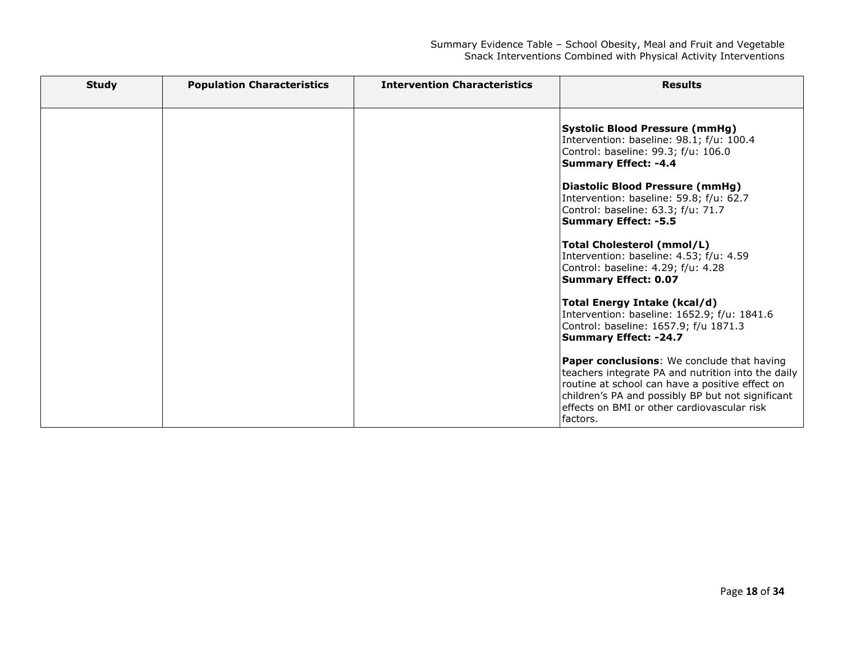| <b>Study</b> | <b>Population Characteristics</b> | <b>Intervention Characteristics</b> | <b>Results</b>                                                                                                                                                                                                                                                      |
|--------------|-----------------------------------|-------------------------------------|---------------------------------------------------------------------------------------------------------------------------------------------------------------------------------------------------------------------------------------------------------------------|
|              |                                   |                                     | <b>Systolic Blood Pressure (mmHg)</b><br>Intervention: baseline: 98.1; f/u: 100.4<br>Control: baseline: 99.3; f/u: 106.0<br><b>Summary Effect: -4.4</b><br>Diastolic Blood Pressure (mmHg)                                                                          |
|              |                                   |                                     | Intervention: baseline: 59.8; f/u: 62.7<br>Control: baseline: 63.3; f/u: 71.7<br><b>Summary Effect: -5.5</b><br>Total Cholesterol (mmol/L)<br>Intervention: baseline: 4.53; f/u: 4.59<br>Control: baseline: 4.29; f/u: 4.28<br><b>Summary Effect: 0.07</b>          |
|              |                                   |                                     | Total Energy Intake (kcal/d)<br>Intervention: baseline: 1652.9; f/u: 1841.6<br>Control: baseline: 1657.9; f/u 1871.3<br><b>Summary Effect: -24.7</b>                                                                                                                |
|              |                                   |                                     | Paper conclusions: We conclude that having<br>teachers integrate PA and nutrition into the daily<br>routine at school can have a positive effect on<br>children's PA and possibly BP but not significant<br>effects on BMI or other cardiovascular risk<br>factors. |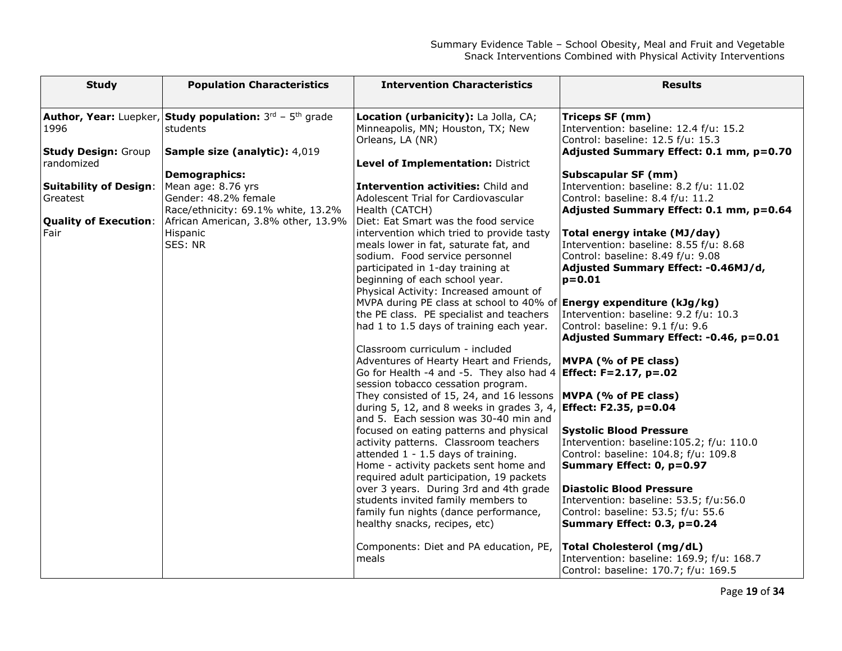| <b>Author, Year:</b> Luepker, Study population: $3^{rd}$ - $5^{th}$ grade<br>Location (urbanicity): La Jolla, CA;<br>Triceps SF (mm)                            |  |
|-----------------------------------------------------------------------------------------------------------------------------------------------------------------|--|
| students<br>Intervention: baseline: 12.4 f/u: 15.2<br>1996<br>Minneapolis, MN; Houston, TX; New                                                                 |  |
| Orleans, LA (NR)<br>Control: baseline: 12.5 f/u: 15.3<br>Sample size (analytic): 4,019<br>Adjusted Summary Effect: 0.1 mm, p=0.70<br><b>Study Design:</b> Group |  |
| randomized<br>Level of Implementation: District                                                                                                                 |  |
| <b>Demographics:</b><br>Subscapular SF (mm)                                                                                                                     |  |
| Mean age: 8.76 yrs<br>Intervention activities: Child and<br>Intervention: baseline: 8.2 f/u: 11.02<br><b>Suitability of Design:</b>                             |  |
| Gender: 48.2% female<br>Control: baseline: 8.4 f/u: 11.2<br>Adolescent Trial for Cardiovascular<br>Greatest                                                     |  |
| Race/ethnicity: 69.1% white, 13.2%<br>Health (CATCH)<br>Adjusted Summary Effect: 0.1 mm, p=0.64                                                                 |  |
| African American, 3.8% other, 13.9%<br><b>Quality of Execution:</b><br>Diet: Eat Smart was the food service                                                     |  |
| Fair<br>Hispanic<br>intervention which tried to provide tasty<br>Total energy intake (MJ/day)                                                                   |  |
| SES: NR<br>Intervention: baseline: 8.55 f/u: 8.68<br>meals lower in fat, saturate fat, and                                                                      |  |
| sodium. Food service personnel<br>Control: baseline: 8.49 f/u: 9.08                                                                                             |  |
| participated in 1-day training at<br>Adjusted Summary Effect: -0.46MJ/d,                                                                                        |  |
| beginning of each school year.<br>$p = 0.01$                                                                                                                    |  |
| Physical Activity: Increased amount of                                                                                                                          |  |
| MVPA during PE class at school to 40% of<br>Energy expenditure (kJg/kg)                                                                                         |  |
| Intervention: baseline: 9.2 f/u: 10.3<br>the PE class. PE specialist and teachers                                                                               |  |
| had 1 to 1.5 days of training each year.<br>Control: baseline: 9.1 f/u: 9.6<br>Adjusted Summary Effect: -0.46, p=0.01                                           |  |
| Classroom curriculum - included                                                                                                                                 |  |
| Adventures of Hearty Heart and Friends,<br>MVPA (% of PE class)                                                                                                 |  |
| Go for Health -4 and -5. They also had 4<br>Effect: F=2.17, p=.02                                                                                               |  |
| session tobacco cessation program.                                                                                                                              |  |
| They consisted of 15, 24, and 16 lessons<br>MVPA (% of PE class)                                                                                                |  |
| during 5, 12, and 8 weeks in grades 3, 4,<br>Effect: F2.35, p=0.04                                                                                              |  |
| and 5. Each session was 30-40 min and                                                                                                                           |  |
| <b>Systolic Blood Pressure</b><br>focused on eating patterns and physical                                                                                       |  |
| activity patterns. Classroom teachers<br>Intervention: baseline: 105.2; f/u: 110.0                                                                              |  |
| attended 1 - 1.5 days of training.<br>Control: baseline: 104.8; f/u: 109.8                                                                                      |  |
| Home - activity packets sent home and<br>Summary Effect: 0, p=0.97                                                                                              |  |
| required adult participation, 19 packets                                                                                                                        |  |
| over 3 years. During 3rd and 4th grade<br><b>Diastolic Blood Pressure</b>                                                                                       |  |
| students invited family members to<br>Intervention: baseline: 53.5; f/u:56.0                                                                                    |  |
| family fun nights (dance performance,<br>Control: baseline: 53.5; f/u: 55.6                                                                                     |  |
| healthy snacks, recipes, etc)<br>Summary Effect: 0.3, p=0.24                                                                                                    |  |
| Total Cholesterol (mg/dL)<br>Components: Diet and PA education, PE,                                                                                             |  |
| meals<br>Intervention: baseline: 169.9; f/u: 168.7                                                                                                              |  |
| Control: baseline: 170.7; f/u: 169.5                                                                                                                            |  |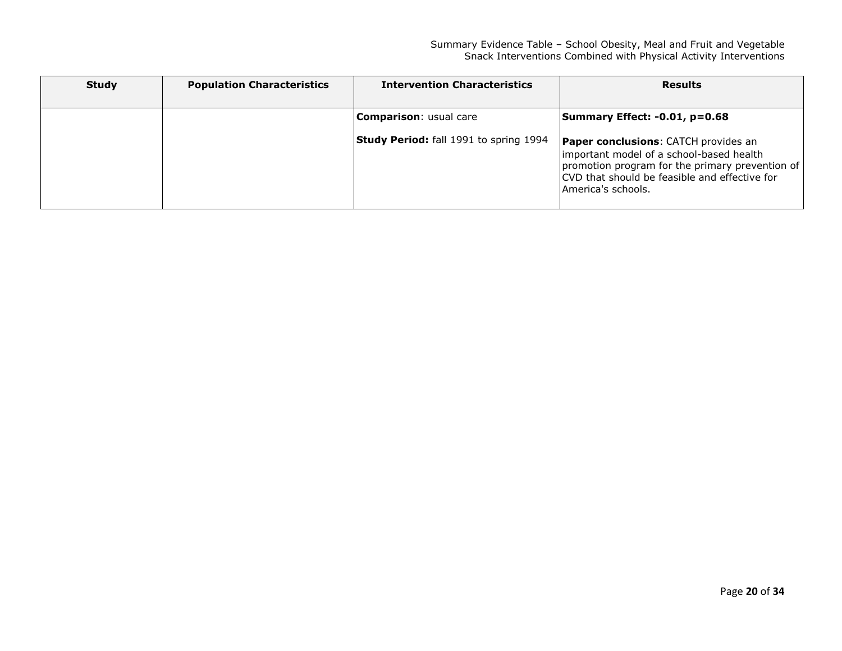| <b>Study</b> | <b>Population Characteristics</b> | <b>Intervention Characteristics</b>           | <b>Results</b>                                                                                                                                                                                                    |
|--------------|-----------------------------------|-----------------------------------------------|-------------------------------------------------------------------------------------------------------------------------------------------------------------------------------------------------------------------|
|              |                                   | <b>Comparison: usual care</b>                 | Summary Effect: -0.01, p=0.68                                                                                                                                                                                     |
|              |                                   | <b>Study Period:</b> fall 1991 to spring 1994 | <b>Paper conclusions:</b> CATCH provides an<br>important model of a school-based health<br>promotion program for the primary prevention of<br>CVD that should be feasible and effective for<br>America's schools. |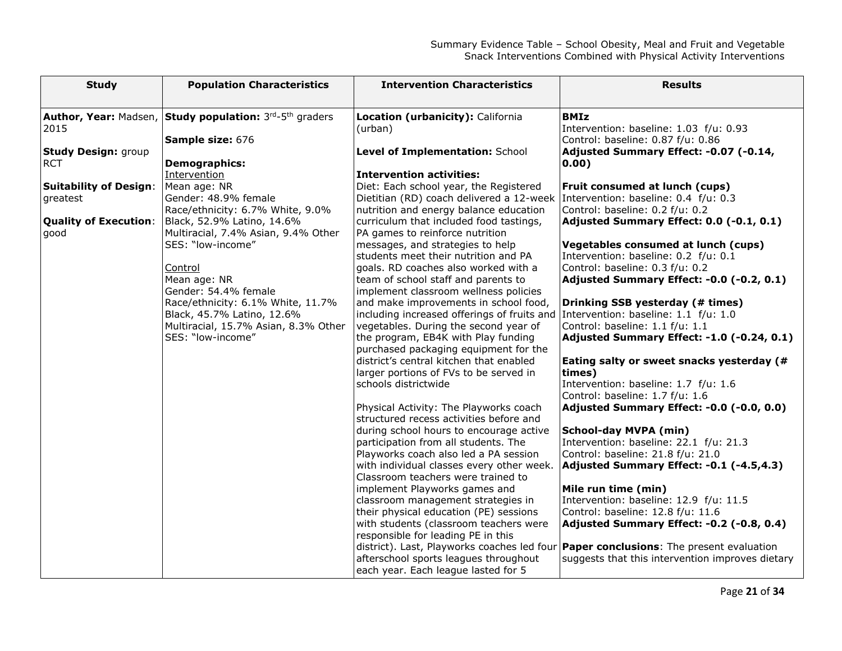| <b>Population Characteristics</b><br><b>Intervention Characteristics</b><br><b>Results</b><br><b>Study</b>                                                                                                                        |  |
|-----------------------------------------------------------------------------------------------------------------------------------------------------------------------------------------------------------------------------------|--|
| Author, Year: Madsen, Study population: 3rd-5th graders<br>Location (urbanicity): California<br><b>BMIz</b><br>2015<br>(urban)<br>Intervention: baseline: 1.03 f/u: 0.93<br>Sample size: 676<br>Control: baseline: 0.87 f/u: 0.86 |  |
| Adjusted Summary Effect: -0.07 (-0.14,<br><b>Study Design: group</b><br>Level of Implementation: School<br><b>RCT</b><br>Demographics:<br>0.00)                                                                                   |  |
| Intervention<br><b>Intervention activities:</b>                                                                                                                                                                                   |  |
| <b>Suitability of Design:</b><br>Mean age: NR<br>Diet: Each school year, the Registered<br>Fruit consumed at lunch (cups)                                                                                                         |  |
| Gender: 48.9% female<br>Dietitian (RD) coach delivered a 12-week   Intervention: baseline: 0.4 f/u: 0.3<br>greatest                                                                                                               |  |
| Control: baseline: 0.2 f/u: 0.2<br>Race/ethnicity: 6.7% White, 9.0%<br>nutrition and energy balance education                                                                                                                     |  |
| <b>Quality of Execution:</b><br>Adjusted Summary Effect: 0.0 (-0.1, 0.1)<br>Black, 52.9% Latino, 14.6%<br>curriculum that included food tastings,                                                                                 |  |
| Multiracial, 7.4% Asian, 9.4% Other<br>PA games to reinforce nutrition<br>good                                                                                                                                                    |  |
| SES: "low-income"<br>messages, and strategies to help<br>Vegetables consumed at lunch (cups)                                                                                                                                      |  |
| students meet their nutrition and PA<br>Intervention: baseline: 0.2 f/u: 0.1                                                                                                                                                      |  |
| Control: baseline: 0.3 f/u: 0.2<br>goals. RD coaches also worked with a<br>Control                                                                                                                                                |  |
| Mean age: NR<br>Adjusted Summary Effect: -0.0 (-0.2, 0.1)<br>team of school staff and parents to                                                                                                                                  |  |
| Gender: 54.4% female<br>implement classroom wellness policies                                                                                                                                                                     |  |
| and make improvements in school food,<br>Race/ethnicity: 6.1% White, 11.7%<br>Drinking SSB yesterday (# times)                                                                                                                    |  |
| including increased offerings of fruits and Intervention: baseline: $1.1 f/u: 1.0$<br>Black, 45.7% Latino, 12.6%                                                                                                                  |  |
| Control: baseline: 1.1 f/u: 1.1<br>Multiracial, 15.7% Asian, 8.3% Other<br>vegetables. During the second year of                                                                                                                  |  |
| SES: "low-income"<br>the program, EB4K with Play funding<br>Adjusted Summary Effect: -1.0 (-0.24, 0.1)                                                                                                                            |  |
| purchased packaging equipment for the                                                                                                                                                                                             |  |
| district's central kitchen that enabled<br>Eating salty or sweet snacks yesterday (#                                                                                                                                              |  |
| larger portions of FVs to be served in<br>times)                                                                                                                                                                                  |  |
| schools districtwide<br>Intervention: baseline: 1.7 f/u: 1.6                                                                                                                                                                      |  |
| Control: baseline: 1.7 f/u: 1.6                                                                                                                                                                                                   |  |
| Physical Activity: The Playworks coach<br>Adjusted Summary Effect: -0.0 (-0.0, 0.0)                                                                                                                                               |  |
| structured recess activities before and<br>during school hours to encourage active<br>School-day MVPA (min)                                                                                                                       |  |
| participation from all students. The<br>Intervention: baseline: 22.1 f/u: 21.3                                                                                                                                                    |  |
| Playworks coach also led a PA session<br>Control: baseline: 21.8 f/u: 21.0                                                                                                                                                        |  |
| with individual classes every other week.<br>Adjusted Summary Effect: -0.1 (-4.5,4.3)                                                                                                                                             |  |
| Classroom teachers were trained to                                                                                                                                                                                                |  |
| implement Playworks games and<br>Mile run time (min)                                                                                                                                                                              |  |
| Intervention: baseline: 12.9 f/u: 11.5<br>classroom management strategies in                                                                                                                                                      |  |
| Control: baseline: 12.8 f/u: 11.6<br>their physical education (PE) sessions                                                                                                                                                       |  |
| with students (classroom teachers were<br>Adjusted Summary Effect: -0.2 (-0.8, 0.4)                                                                                                                                               |  |
| responsible for leading PE in this                                                                                                                                                                                                |  |
| district). Last, Playworks coaches led four <b>Paper conclusions</b> : The present evaluation                                                                                                                                     |  |
| afterschool sports leagues throughout<br>suggests that this intervention improves dietary                                                                                                                                         |  |
| each year. Each league lasted for 5                                                                                                                                                                                               |  |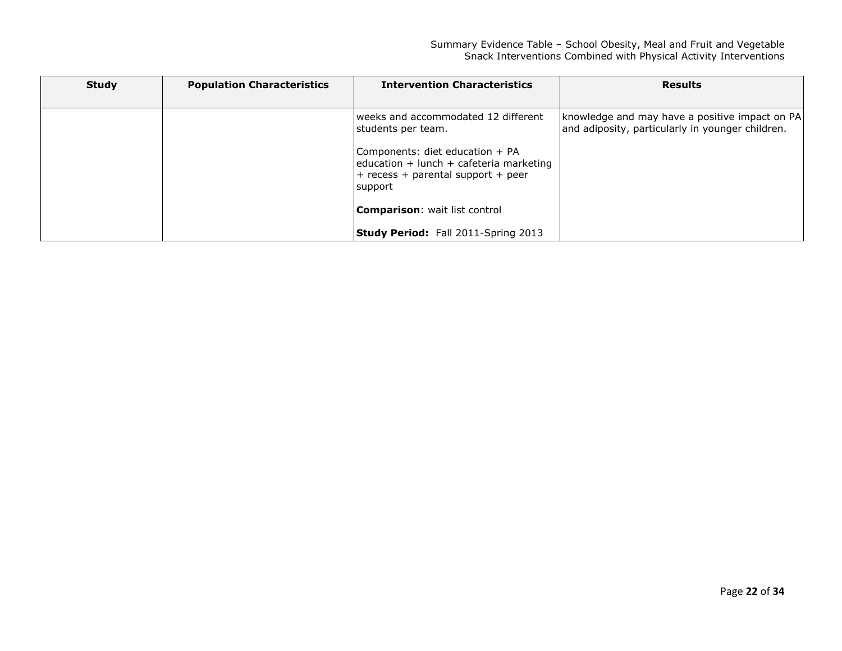| <b>Study</b> | <b>Population Characteristics</b> | <b>Intervention Characteristics</b>                                                                                             | <b>Results</b>                                                                                       |
|--------------|-----------------------------------|---------------------------------------------------------------------------------------------------------------------------------|------------------------------------------------------------------------------------------------------|
|              |                                   |                                                                                                                                 |                                                                                                      |
|              |                                   | lweeks and accommodated 12 different<br>students per team.                                                                      | [knowledge and may have a positive impact on PA]<br>and adiposity, particularly in younger children. |
|              |                                   | Components: diet education + PA<br>$education + lunch + cafeteria marketing$<br>$+$ recess + parental support + peer<br>support |                                                                                                      |
|              |                                   | <b>Comparison:</b> wait list control                                                                                            |                                                                                                      |
|              |                                   | <b>Study Period:</b> Fall 2011-Spring 2013                                                                                      |                                                                                                      |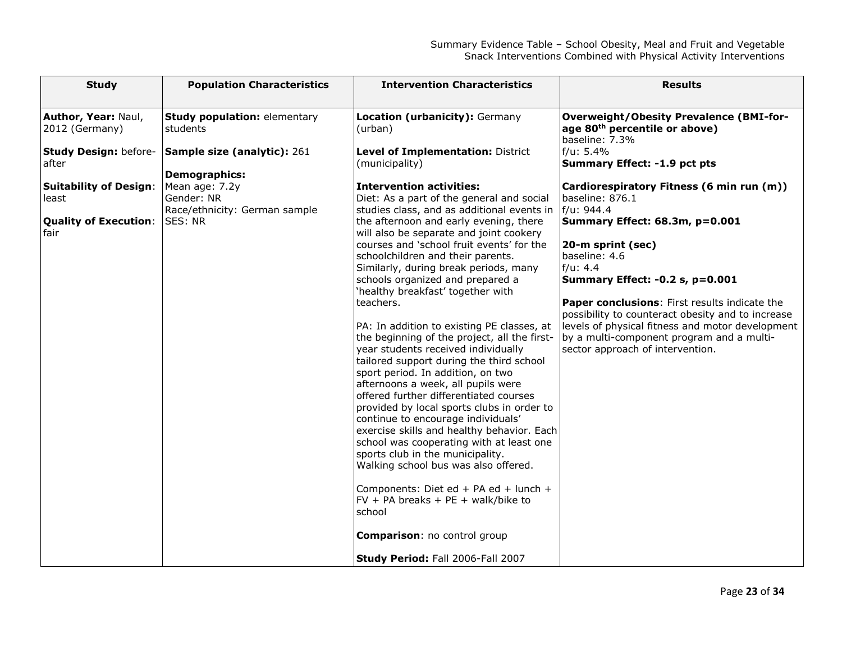| <b>Study</b>                                                                                                                                                     | <b>Population Characteristics</b>                                                                                                                                                  | <b>Intervention Characteristics</b>                                                                                                                                                                                                                                                                                                                                                                                                                                                                                                                                                                                                                                                                                                                                                                                                                                                                                                                                                                                                                                                                                                                                                                                                    | <b>Results</b>                                                                                                                                                                                                                                                                                                                                                                                                                                                                                                                                                                                             |
|------------------------------------------------------------------------------------------------------------------------------------------------------------------|------------------------------------------------------------------------------------------------------------------------------------------------------------------------------------|----------------------------------------------------------------------------------------------------------------------------------------------------------------------------------------------------------------------------------------------------------------------------------------------------------------------------------------------------------------------------------------------------------------------------------------------------------------------------------------------------------------------------------------------------------------------------------------------------------------------------------------------------------------------------------------------------------------------------------------------------------------------------------------------------------------------------------------------------------------------------------------------------------------------------------------------------------------------------------------------------------------------------------------------------------------------------------------------------------------------------------------------------------------------------------------------------------------------------------------|------------------------------------------------------------------------------------------------------------------------------------------------------------------------------------------------------------------------------------------------------------------------------------------------------------------------------------------------------------------------------------------------------------------------------------------------------------------------------------------------------------------------------------------------------------------------------------------------------------|
| Author, Year: Naul,<br>2012 (Germany)<br><b>Study Design: before-</b><br>after<br><b>Suitability of Design:</b><br>least<br><b>Quality of Execution:</b><br>fair | <b>Study population: elementary</b><br>students<br>Sample size (analytic): 261<br><b>Demographics:</b><br>Mean age: 7.2y<br>Gender: NR<br>Race/ethnicity: German sample<br>SES: NR | Location (urbanicity): Germany<br>(urban)<br>Level of Implementation: District<br>(municipality)<br><b>Intervention activities:</b><br>Diet: As a part of the general and social<br>studies class, and as additional events in<br>the afternoon and early evening, there<br>will also be separate and joint cookery<br>courses and 'school fruit events' for the<br>schoolchildren and their parents.<br>Similarly, during break periods, many<br>schools organized and prepared a<br>'healthy breakfast' together with<br>teachers.<br>PA: In addition to existing PE classes, at<br>the beginning of the project, all the first-<br>year students received individually<br>tailored support during the third school<br>sport period. In addition, on two<br>afternoons a week, all pupils were<br>offered further differentiated courses<br>provided by local sports clubs in order to<br>continue to encourage individuals'<br>exercise skills and healthy behavior. Each<br>school was cooperating with at least one<br>sports club in the municipality.<br>Walking school bus was also offered.<br>Components: Diet ed + PA ed + lunch +<br>$FV + PA$ breaks + PE + walk/bike to<br>school<br><b>Comparison: no control group</b> | <b>Overweight/Obesity Prevalence (BMI-for-</b><br>age 80 <sup>th</sup> percentile or above)<br>baseline: 7.3%<br>f/u: 5.4%<br>Summary Effect: -1.9 pct pts<br>Cardiorespiratory Fitness (6 min run (m))<br>baseline: 876.1<br>f/u: 944.4<br>Summary Effect: 68.3m, p=0.001<br>20-m sprint (sec)<br>baseline: 4.6<br>f/u: 4.4<br>Summary Effect: -0.2 s, p=0.001<br>Paper conclusions: First results indicate the<br>possibility to counteract obesity and to increase<br>levels of physical fitness and motor development<br>by a multi-component program and a multi-<br>sector approach of intervention. |
|                                                                                                                                                                  |                                                                                                                                                                                    | <b>Study Period: Fall 2006-Fall 2007</b>                                                                                                                                                                                                                                                                                                                                                                                                                                                                                                                                                                                                                                                                                                                                                                                                                                                                                                                                                                                                                                                                                                                                                                                               |                                                                                                                                                                                                                                                                                                                                                                                                                                                                                                                                                                                                            |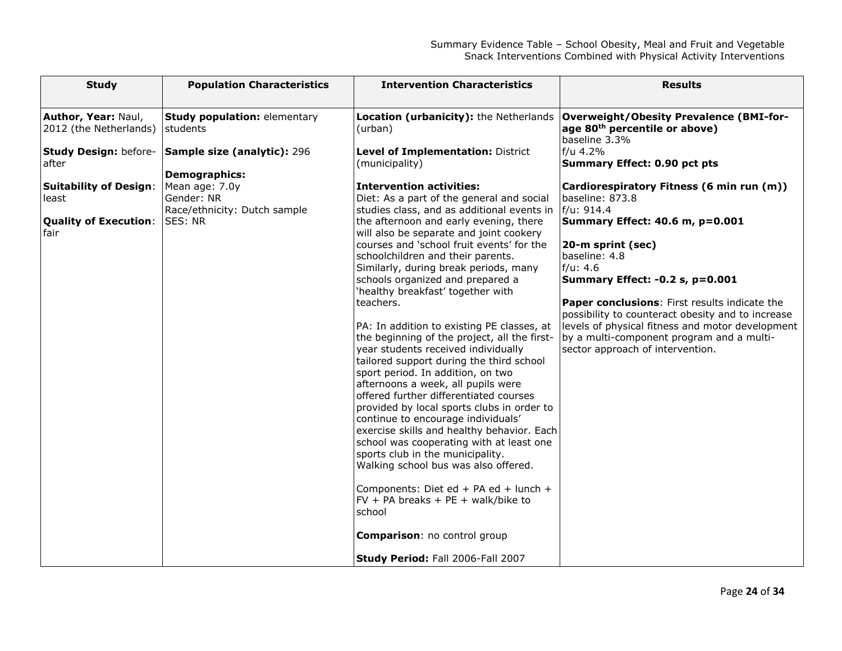| <b>Study</b>                                                                                                                                      | <b>Population Characteristics</b>                                                                                                                                                           | <b>Intervention Characteristics</b>                                                                                                                                                                                                                                                                                                                                                                                                                                                                                                                                                                                                                                                                                                                                                                                                                                                                                                                                                                                                                                  | <b>Results</b>                                                                                                                                                                                                                                                                                                                                                                                                                                                                                                                                                                                                          |
|---------------------------------------------------------------------------------------------------------------------------------------------------|---------------------------------------------------------------------------------------------------------------------------------------------------------------------------------------------|----------------------------------------------------------------------------------------------------------------------------------------------------------------------------------------------------------------------------------------------------------------------------------------------------------------------------------------------------------------------------------------------------------------------------------------------------------------------------------------------------------------------------------------------------------------------------------------------------------------------------------------------------------------------------------------------------------------------------------------------------------------------------------------------------------------------------------------------------------------------------------------------------------------------------------------------------------------------------------------------------------------------------------------------------------------------|-------------------------------------------------------------------------------------------------------------------------------------------------------------------------------------------------------------------------------------------------------------------------------------------------------------------------------------------------------------------------------------------------------------------------------------------------------------------------------------------------------------------------------------------------------------------------------------------------------------------------|
| Author, Year: Naul,<br>2012 (the Netherlands) students<br>after<br><b>Suitability of Design:</b><br>least<br><b>Quality of Execution:</b><br>fair | <b>Study population: elementary</b><br>Study Design: before- Sample size (analytic): 296<br><b>Demographics:</b><br>Mean age: 7.0y<br>Gender: NR<br>Race/ethnicity: Dutch sample<br>SES: NR | Location (urbanicity): the Netherlands<br>(urban)<br>Level of Implementation: District<br>(municipality)<br><b>Intervention activities:</b><br>Diet: As a part of the general and social<br>studies class, and as additional events in<br>the afternoon and early evening, there<br>will also be separate and joint cookery<br>courses and 'school fruit events' for the<br>schoolchildren and their parents.<br>Similarly, during break periods, many<br>schools organized and prepared a<br>'healthy breakfast' together with<br>teachers.<br>PA: In addition to existing PE classes, at<br>the beginning of the project, all the first-<br>year students received individually<br>tailored support during the third school<br>sport period. In addition, on two<br>afternoons a week, all pupils were<br>offered further differentiated courses<br>provided by local sports clubs in order to<br>continue to encourage individuals'<br>exercise skills and healthy behavior. Each<br>school was cooperating with at least one<br>sports club in the municipality. | <b>Overweight/Obesity Prevalence (BMI-for-</b><br>age 80 <sup>th</sup> percentile or above)<br>baseline 3.3%<br>f/u 4.2%<br><b>Summary Effect: 0.90 pct pts</b><br>Cardiorespiratory Fitness (6 min run (m))<br>baseline: 873.8<br>f/u: 914.4<br>Summary Effect: 40.6 m, p=0.001<br>20-m sprint (sec)<br>baseline: 4.8<br>f/u: 4.6<br><b>Summary Effect: -0.2 s, p=0.001</b><br>Paper conclusions: First results indicate the<br>possibility to counteract obesity and to increase<br>levels of physical fitness and motor development<br>by a multi-component program and a multi-<br>sector approach of intervention. |
|                                                                                                                                                   |                                                                                                                                                                                             | Walking school bus was also offered.                                                                                                                                                                                                                                                                                                                                                                                                                                                                                                                                                                                                                                                                                                                                                                                                                                                                                                                                                                                                                                 |                                                                                                                                                                                                                                                                                                                                                                                                                                                                                                                                                                                                                         |
|                                                                                                                                                   |                                                                                                                                                                                             | Components: Diet ed + PA ed + lunch +<br>$FV + PA$ breaks + PE + walk/bike to<br>school                                                                                                                                                                                                                                                                                                                                                                                                                                                                                                                                                                                                                                                                                                                                                                                                                                                                                                                                                                              |                                                                                                                                                                                                                                                                                                                                                                                                                                                                                                                                                                                                                         |
|                                                                                                                                                   |                                                                                                                                                                                             | <b>Comparison: no control group</b>                                                                                                                                                                                                                                                                                                                                                                                                                                                                                                                                                                                                                                                                                                                                                                                                                                                                                                                                                                                                                                  |                                                                                                                                                                                                                                                                                                                                                                                                                                                                                                                                                                                                                         |
|                                                                                                                                                   |                                                                                                                                                                                             | <b>Study Period: Fall 2006-Fall 2007</b>                                                                                                                                                                                                                                                                                                                                                                                                                                                                                                                                                                                                                                                                                                                                                                                                                                                                                                                                                                                                                             |                                                                                                                                                                                                                                                                                                                                                                                                                                                                                                                                                                                                                         |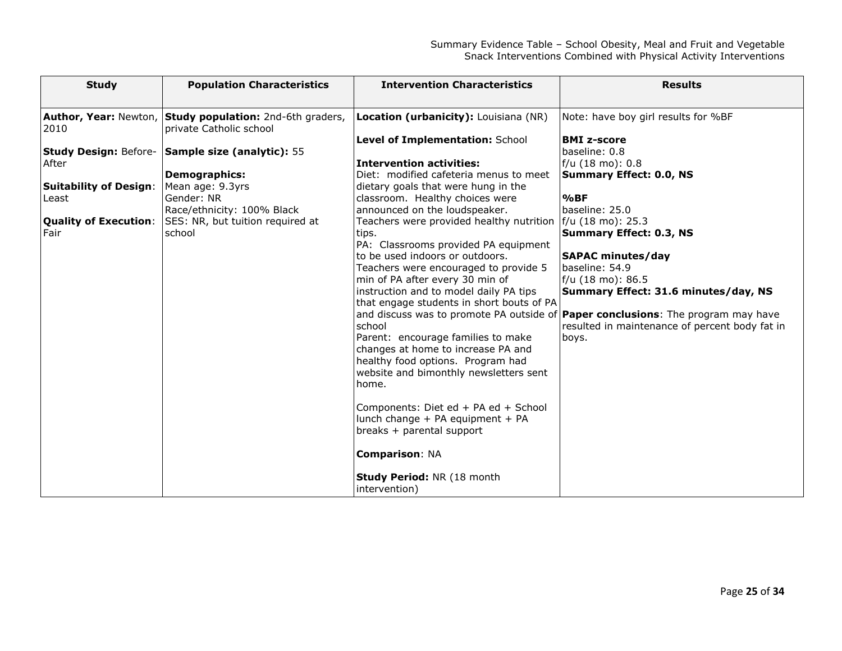| <b>Study</b>                                                    | <b>Population Characteristics</b>                                                                                                                                                                                                                                                                   | <b>Intervention Characteristics</b>                                                                                                                                                                                                                                                                                                                                                                                                                                                                                                                                                                                                                                                                                                                                                                                                                                                                | <b>Results</b>                                                                                                                                                                                                                                                                                                                                                                                                                                  |
|-----------------------------------------------------------------|-----------------------------------------------------------------------------------------------------------------------------------------------------------------------------------------------------------------------------------------------------------------------------------------------------|----------------------------------------------------------------------------------------------------------------------------------------------------------------------------------------------------------------------------------------------------------------------------------------------------------------------------------------------------------------------------------------------------------------------------------------------------------------------------------------------------------------------------------------------------------------------------------------------------------------------------------------------------------------------------------------------------------------------------------------------------------------------------------------------------------------------------------------------------------------------------------------------------|-------------------------------------------------------------------------------------------------------------------------------------------------------------------------------------------------------------------------------------------------------------------------------------------------------------------------------------------------------------------------------------------------------------------------------------------------|
| 2010<br>After<br><b>Suitability of Design:</b><br>Least<br>Fair | Author, Year: Newton, Study population: 2nd-6th graders,<br>private Catholic school<br>Study Design: Before- Sample size (analytic): 55<br>Demographics:<br>Mean age: 9.3yrs<br>Gender: NR<br>Race/ethnicity: 100% Black<br><b>Quality of Execution: SES: NR, but tuition required at</b><br>school | Location (urbanicity): Louisiana (NR)<br>Level of Implementation: School<br>Intervention activities:<br>Diet: modified cafeteria menus to meet<br>dietary goals that were hung in the<br>classroom. Healthy choices were<br>announced on the loudspeaker.<br>Teachers were provided healthy nutrition   f/u (18 mo): 25.3<br>tips.<br>PA: Classrooms provided PA equipment<br>lto be used indoors or outdoors.<br>Teachers were encouraged to provide 5<br>min of PA after every 30 min of<br>instruction and to model daily PA tips<br>that engage students in short bouts of PA<br>school<br>Parent: encourage families to make<br>changes at home to increase PA and<br>healthy food options. Program had<br>website and bimonthly newsletters sent<br>lhome.<br>Components: Diet ed + PA ed + School<br>lunch change + PA equipment + PA<br>breaks + parental support<br><b>Comparison: NA</b> | Note: have boy girl results for %BF<br><b>BMI z-score</b><br>baseline: 0.8<br>f/u (18 mo): 0.8<br>Summary Effect: 0.0, NS<br>%BF<br>baseline: 25.0<br>Summary Effect: 0.3, NS<br><b>SAPAC minutes/day</b><br>baseline: 54.9<br>f/u (18 mo): 86.5<br>Summary Effect: 31.6 minutes/day, NS<br>and discuss was to promote PA outside of <b>Paper conclusions</b> : The program may have<br>resulted in maintenance of percent body fat in<br>boys. |
|                                                                 |                                                                                                                                                                                                                                                                                                     | <b>Study Period: NR (18 month</b><br>(intervention)                                                                                                                                                                                                                                                                                                                                                                                                                                                                                                                                                                                                                                                                                                                                                                                                                                                |                                                                                                                                                                                                                                                                                                                                                                                                                                                 |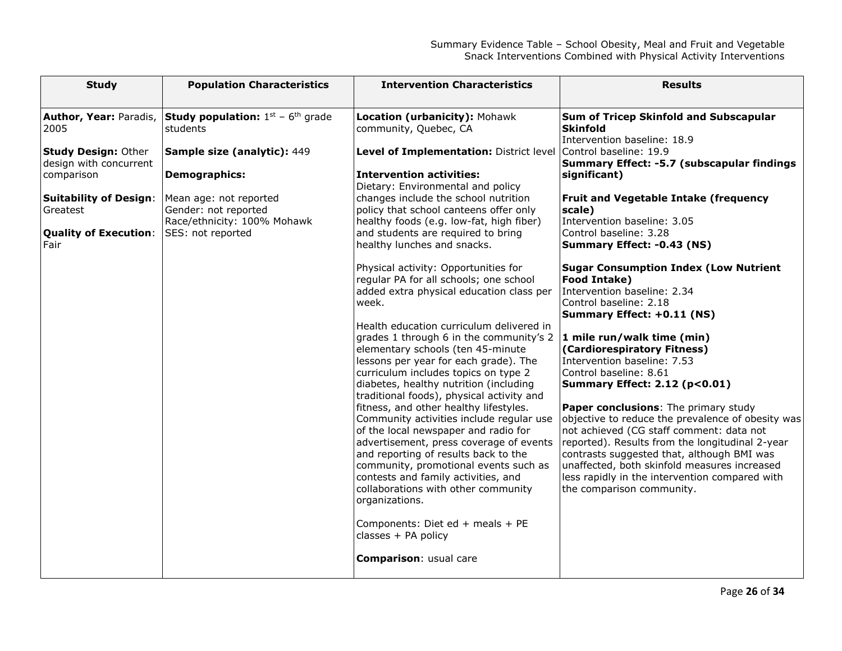| <b>Study</b>                                                                                                                                                                              | <b>Population Characteristics</b>                                                                                                                                                                                           | <b>Intervention Characteristics</b>                                                                                                                                                                                                                                                                                                                                                                                                                                                                                                                                                                                                                                                                                                                                                                                                            | <b>Results</b>                                                                                                                                                                                                                                                                                                                                                                                                                                                                                                                                                                                                                                               |
|-------------------------------------------------------------------------------------------------------------------------------------------------------------------------------------------|-----------------------------------------------------------------------------------------------------------------------------------------------------------------------------------------------------------------------------|------------------------------------------------------------------------------------------------------------------------------------------------------------------------------------------------------------------------------------------------------------------------------------------------------------------------------------------------------------------------------------------------------------------------------------------------------------------------------------------------------------------------------------------------------------------------------------------------------------------------------------------------------------------------------------------------------------------------------------------------------------------------------------------------------------------------------------------------|--------------------------------------------------------------------------------------------------------------------------------------------------------------------------------------------------------------------------------------------------------------------------------------------------------------------------------------------------------------------------------------------------------------------------------------------------------------------------------------------------------------------------------------------------------------------------------------------------------------------------------------------------------------|
| Author, Year: Paradis,<br>2005<br><b>Study Design: Other</b><br>design with concurrent<br>comparison<br><b>Suitability of Design:</b><br>Greatest<br><b>Quality of Execution:</b><br>Fair | <b>Study population:</b> $1^{st}$ - $6^{th}$ grade<br>students<br>Sample size (analytic): 449<br><b>Demographics:</b><br>Mean age: not reported<br>Gender: not reported<br>Race/ethnicity: 100% Mohawk<br>SES: not reported | Location (urbanicity): Mohawk<br>community, Quebec, CA<br>Level of Implementation: District level<br><b>Intervention activities:</b><br>Dietary: Environmental and policy<br>changes include the school nutrition<br>policy that school canteens offer only<br>healthy foods (e.g. low-fat, high fiber)<br>and students are required to bring<br>healthy lunches and snacks.<br>Physical activity: Opportunities for                                                                                                                                                                                                                                                                                                                                                                                                                           | Sum of Tricep Skinfold and Subscapular<br><b>Skinfold</b><br>Intervention baseline: 18.9<br>Control baseline: 19.9<br>Summary Effect: -5.7 (subscapular findings<br>significant)<br><b>Fruit and Vegetable Intake (frequency</b><br>scale)<br>Intervention baseline: 3.05<br>Control baseline: 3.28<br>Summary Effect: -0.43 (NS)<br><b>Sugar Consumption Index (Low Nutrient</b>                                                                                                                                                                                                                                                                            |
|                                                                                                                                                                                           |                                                                                                                                                                                                                             | regular PA for all schools; one school<br>added extra physical education class per<br>week.<br>Health education curriculum delivered in<br>grades 1 through 6 in the community's 2<br>elementary schools (ten 45-minute<br>lessons per year for each grade). The<br>curriculum includes topics on type 2<br>diabetes, healthy nutrition (including<br>traditional foods), physical activity and<br>fitness, and other healthy lifestyles.<br>Community activities include regular use<br>of the local newspaper and radio for<br>advertisement, press coverage of events<br>and reporting of results back to the<br>community, promotional events such as<br>contests and family activities, and<br>collaborations with other community<br>organizations.<br>Components: Diet ed + meals + PE<br>classes + PA policy<br>Comparison: usual care | <b>Food Intake)</b><br>Intervention baseline: 2.34<br>Control baseline: 2.18<br>Summary Effect: +0.11 (NS)<br>$\vert$ 1 mile run/walk time (min)<br>(Cardiorespiratory Fitness)<br>Intervention baseline: 7.53<br>Control baseline: 8.61<br><b>Summary Effect: 2.12 (p&lt;0.01)</b><br>Paper conclusions: The primary study<br>objective to reduce the prevalence of obesity was<br>not achieved (CG staff comment: data not<br>reported). Results from the longitudinal 2-year<br>contrasts suggested that, although BMI was<br>unaffected, both skinfold measures increased<br>less rapidly in the intervention compared with<br>the comparison community. |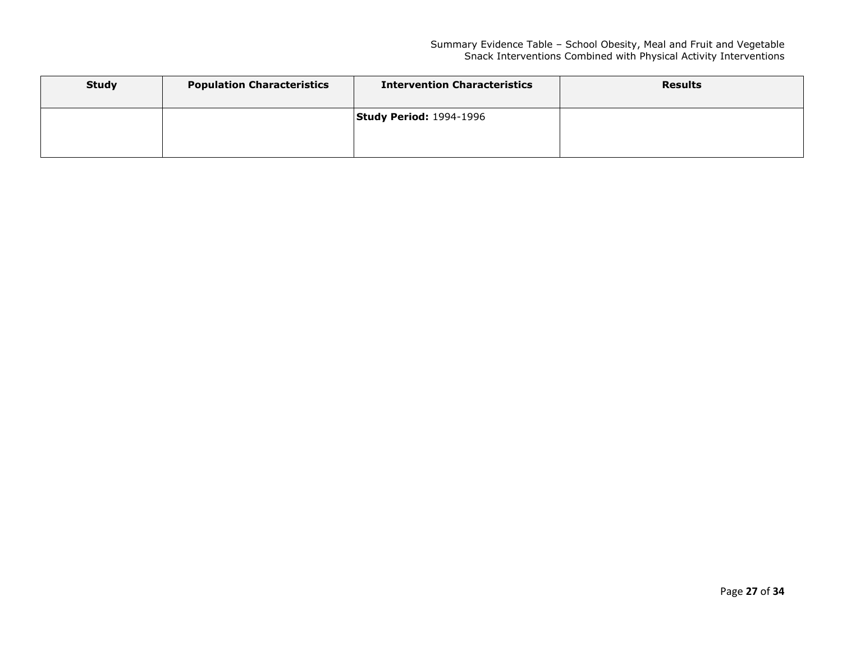| <b>Study</b> | <b>Population Characteristics</b> | <b>Intervention Characteristics</b> | <b>Results</b> |
|--------------|-----------------------------------|-------------------------------------|----------------|
|              |                                   | <b>Study Period: 1994-1996</b>      |                |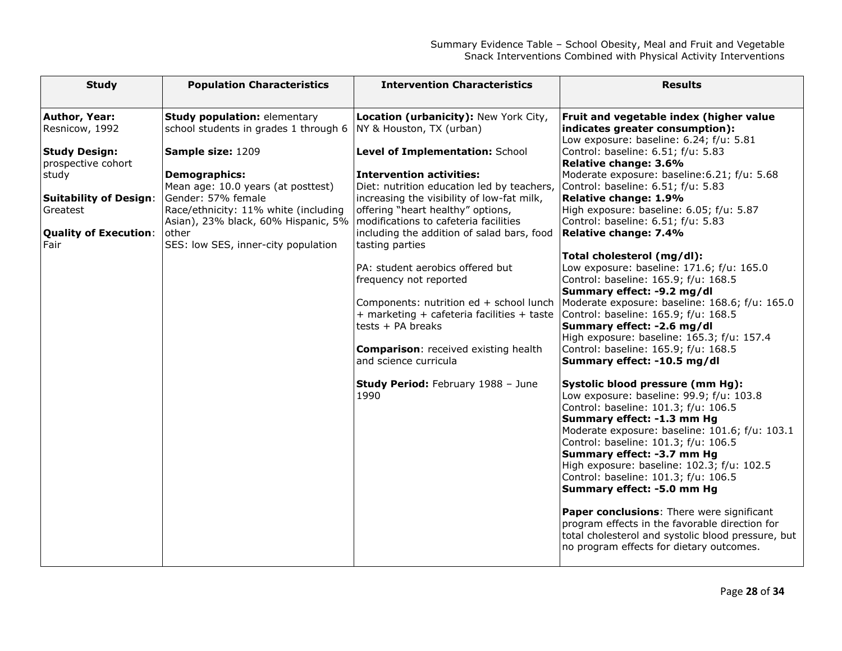| <b>Study</b>                               | <b>Population Characteristics</b>                                                   | <b>Intervention Characteristics</b>                                                                    | <b>Results</b>                                                                                                                                                                                                                                                                                                                                                                                 |
|--------------------------------------------|-------------------------------------------------------------------------------------|--------------------------------------------------------------------------------------------------------|------------------------------------------------------------------------------------------------------------------------------------------------------------------------------------------------------------------------------------------------------------------------------------------------------------------------------------------------------------------------------------------------|
| Author, Year:<br>Resnicow, 1992            | <b>Study population: elementary</b><br>school students in grades 1 through 6        | Location (urbanicity): New York City,<br>NY & Houston, TX (urban)                                      | Fruit and vegetable index (higher value<br>indicates greater consumption):<br>Low exposure: baseline: 6.24; f/u: 5.81                                                                                                                                                                                                                                                                          |
| <b>Study Design:</b><br>prospective cohort | Sample size: 1209                                                                   | Level of Implementation: School                                                                        | Control: baseline: 6.51; f/u: 5.83<br>Relative change: 3.6%                                                                                                                                                                                                                                                                                                                                    |
| study                                      | <b>Demographics:</b><br>Mean age: 10.0 years (at posttest)                          | <b>Intervention activities:</b><br>Diet: nutrition education led by teachers,                          | Moderate exposure: baseline: 6.21; f/u: 5.68<br>Control: baseline: 6.51; f/u: 5.83                                                                                                                                                                                                                                                                                                             |
| <b>Suitability of Design:</b><br>Greatest  | Gender: 57% female<br>Race/ethnicity: 11% white (including                          | increasing the visibility of low-fat milk,<br>offering "heart healthy" options,                        | Relative change: 1.9%<br>High exposure: baseline: 6.05; f/u: 5.87                                                                                                                                                                                                                                                                                                                              |
| <b>Quality of Execution:</b><br>Fair       | Asian), 23% black, 60% Hispanic, 5%<br>other<br>SES: low SES, inner-city population | modifications to cafeteria facilities<br>including the addition of salad bars, food<br>tasting parties | Control: baseline: 6.51; f/u: 5.83<br>Relative change: 7.4%                                                                                                                                                                                                                                                                                                                                    |
|                                            |                                                                                     | PA: student aerobics offered but<br>frequency not reported                                             | Total cholesterol (mg/dl):<br>Low exposure: baseline: 171.6; f/u: 165.0<br>Control: baseline: 165.9; f/u: 168.5<br>Summary effect: -9.2 mg/dl                                                                                                                                                                                                                                                  |
|                                            |                                                                                     | + marketing + cafeteria facilities + taste<br>tests + PA breaks                                        | Components: nutrition ed + school lunch   Moderate exposure: baseline: 168.6; f/u: 165.0<br>Control: baseline: 165.9; f/u: 168.5<br>Summary effect: -2.6 mg/dl                                                                                                                                                                                                                                 |
|                                            |                                                                                     | <b>Comparison:</b> received existing health<br>and science curricula                                   | High exposure: baseline: 165.3; f/u: 157.4<br>Control: baseline: 165.9; f/u: 168.5<br>Summary effect: -10.5 mg/dl                                                                                                                                                                                                                                                                              |
|                                            |                                                                                     | <b>Study Period: February 1988 - June</b><br>1990                                                      | Systolic blood pressure (mm Hg):<br>Low exposure: baseline: 99.9; f/u: 103.8<br>Control: baseline: 101.3; f/u: 106.5<br>Summary effect: -1.3 mm Hg<br>Moderate exposure: baseline: 101.6; f/u: 103.1<br>Control: baseline: 101.3; f/u: 106.5<br>Summary effect: -3.7 mm Hg<br>High exposure: baseline: 102.3; f/u: 102.5<br>Control: baseline: 101.3; f/u: 106.5<br>Summary effect: -5.0 mm Hg |
|                                            |                                                                                     |                                                                                                        | Paper conclusions: There were significant<br>program effects in the favorable direction for<br>total cholesterol and systolic blood pressure, but<br>no program effects for dietary outcomes.                                                                                                                                                                                                  |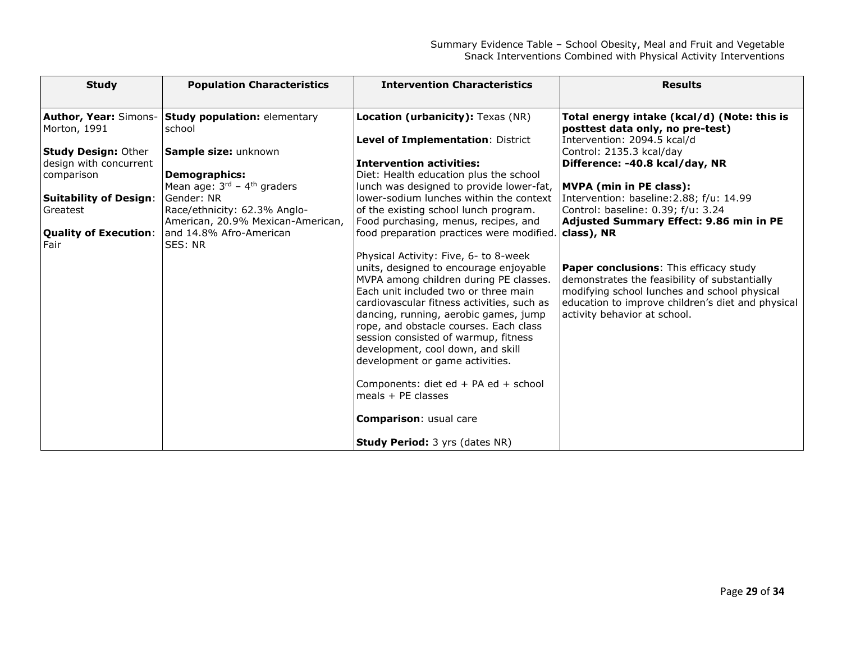| <b>Study</b>                                         | <b>Population Characteristics</b>                                                  | <b>Intervention Characteristics</b>                                                                                                                                                                                                                                                                                                                                       | <b>Results</b>                                                                                                                                                                                                                      |
|------------------------------------------------------|------------------------------------------------------------------------------------|---------------------------------------------------------------------------------------------------------------------------------------------------------------------------------------------------------------------------------------------------------------------------------------------------------------------------------------------------------------------------|-------------------------------------------------------------------------------------------------------------------------------------------------------------------------------------------------------------------------------------|
| Author, Year: Simons-<br>Morton, 1991                | <b>Study population: elementary</b><br>school                                      | Location (urbanicity): Texas (NR)                                                                                                                                                                                                                                                                                                                                         | Total energy intake (kcal/d) (Note: this is<br>posttest data only, no pre-test)                                                                                                                                                     |
| <b>Study Design: Other</b><br>design with concurrent | Sample size: unknown                                                               | Level of Implementation: District<br><b>Intervention activities:</b>                                                                                                                                                                                                                                                                                                      | Intervention: 2094.5 kcal/d<br>Control: 2135.3 kcal/day<br>Difference: -40.8 kcal/day, NR                                                                                                                                           |
| comparison<br><b>Suitability of Design:</b>          | <b>Demographics:</b><br>Mean age: $3^{rd}$ – 4 <sup>th</sup> graders<br>Gender: NR | Diet: Health education plus the school<br>lunch was designed to provide lower-fat,<br>lower-sodium lunches within the context                                                                                                                                                                                                                                             | <b>MVPA</b> (min in PE class):<br>Intervention: baseline: 2.88; f/u: 14.99                                                                                                                                                          |
| Greatest                                             | Race/ethnicity: 62.3% Anglo-<br>American, 20.9% Mexican-American,                  | of the existing school lunch program.<br>Food purchasing, menus, recipes, and                                                                                                                                                                                                                                                                                             | Control: baseline: 0.39; f/u: 3.24<br>Adjusted Summary Effect: 9.86 min in PE                                                                                                                                                       |
| <b>Quality of Execution:</b><br>Fair                 | and 14.8% Afro-American<br>SES: NR                                                 | food preparation practices were modified.<br>Physical Activity: Five, 6- to 8-week                                                                                                                                                                                                                                                                                        | class), NR                                                                                                                                                                                                                          |
|                                                      |                                                                                    | units, designed to encourage enjoyable<br>MVPA among children during PE classes.<br>Each unit included two or three main<br>cardiovascular fitness activities, such as<br>dancing, running, aerobic games, jump<br>rope, and obstacle courses. Each class<br>session consisted of warmup, fitness<br>development, cool down, and skill<br>development or game activities. | <b>Paper conclusions:</b> This efficacy study<br>demonstrates the feasibility of substantially<br>modifying school lunches and school physical<br>education to improve children's diet and physical<br>activity behavior at school. |
|                                                      |                                                                                    | Components: diet ed + PA ed + school<br>meals $+$ PE classes                                                                                                                                                                                                                                                                                                              |                                                                                                                                                                                                                                     |
|                                                      |                                                                                    | <b>Comparison:</b> usual care                                                                                                                                                                                                                                                                                                                                             |                                                                                                                                                                                                                                     |
|                                                      |                                                                                    | <b>Study Period:</b> 3 yrs (dates NR)                                                                                                                                                                                                                                                                                                                                     |                                                                                                                                                                                                                                     |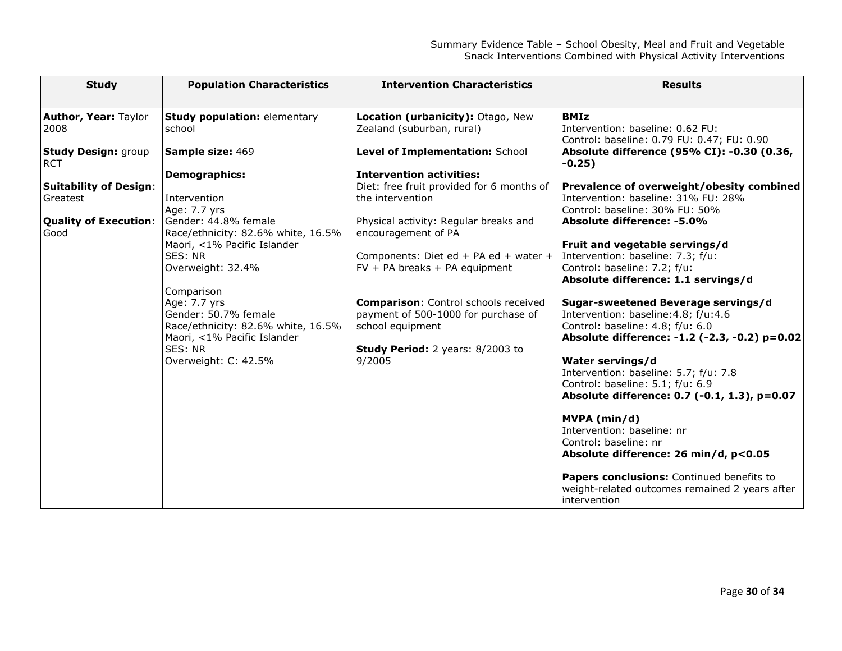| <b>Study</b>                             | <b>Population Characteristics</b>                          | <b>Intervention Characteristics</b>                            | <b>Results</b>                                                                                               |
|------------------------------------------|------------------------------------------------------------|----------------------------------------------------------------|--------------------------------------------------------------------------------------------------------------|
| <b>Author, Year: Taylor</b><br>2008      | <b>Study population: elementary</b><br>school              | Location (urbanicity): Otago, New<br>Zealand (suburban, rural) | <b>BMIz</b><br>Intervention: baseline: 0.62 FU:<br>Control: baseline: 0.79 FU: 0.47; FU: 0.90                |
| <b>Study Design: group</b><br><b>RCT</b> | <b>Sample size: 469</b>                                    | Level of Implementation: School                                | Absolute difference (95% CI): -0.30 (0.36,<br>$-0.25)$                                                       |
|                                          | <b>Demographics:</b>                                       | <b>Intervention activities:</b>                                |                                                                                                              |
| <b>Suitability of Design:</b>            |                                                            | Diet: free fruit provided for 6 months of                      | Prevalence of overweight/obesity combined                                                                    |
| Greatest                                 | Intervention                                               | the intervention                                               | Intervention: baseline: 31% FU: 28%                                                                          |
|                                          | Age: 7.7 yrs                                               |                                                                | Control: baseline: 30% FU: 50%                                                                               |
| <b>Quality of Execution:</b><br>Good     | Gender: 44.8% female<br>Race/ethnicity: 82.6% white, 16.5% | Physical activity: Regular breaks and<br>encouragement of PA   | Absolute difference: -5.0%                                                                                   |
|                                          | Maori, <1% Pacific Islander                                |                                                                | Fruit and vegetable servings/d                                                                               |
|                                          | SES: NR                                                    | Components: Diet ed + PA ed + water +                          | Intervention: baseline: 7.3; f/u:                                                                            |
|                                          | Overweight: 32.4%                                          | $FV + PA$ breaks + PA equipment                                | Control: baseline: 7.2; f/u:                                                                                 |
|                                          |                                                            |                                                                | Absolute difference: 1.1 servings/d                                                                          |
|                                          | <b>Comparison</b>                                          |                                                                |                                                                                                              |
|                                          | Age: 7.7 yrs                                               | <b>Comparison:</b> Control schools received                    | Sugar-sweetened Beverage servings/d                                                                          |
|                                          | Gender: 50.7% female                                       | payment of 500-1000 for purchase of                            | Intervention: baseline: 4.8; f/u: 4.6                                                                        |
|                                          | Race/ethnicity: 82.6% white, 16.5%                         | school equipment                                               | Control: baseline: 4.8; f/u: 6.0                                                                             |
|                                          | Maori, <1% Pacific Islander                                |                                                                | Absolute difference: -1.2 (-2.3, -0.2) p=0.02                                                                |
|                                          | SES: NR                                                    | Study Period: 2 years: 8/2003 to                               |                                                                                                              |
|                                          | Overweight: C: 42.5%                                       | 9/2005                                                         | Water servings/d                                                                                             |
|                                          |                                                            |                                                                | Intervention: baseline: 5.7; f/u: 7.8                                                                        |
|                                          |                                                            |                                                                | Control: baseline: 5.1; f/u: 6.9                                                                             |
|                                          |                                                            |                                                                | Absolute difference: 0.7 (-0.1, 1.3), p=0.07                                                                 |
|                                          |                                                            |                                                                | MVPA (min/d)                                                                                                 |
|                                          |                                                            |                                                                | Intervention: baseline: nr                                                                                   |
|                                          |                                                            |                                                                | lControl: baseline: nr                                                                                       |
|                                          |                                                            |                                                                | Absolute difference: 26 min/d, p<0.05                                                                        |
|                                          |                                                            |                                                                | Papers conclusions: Continued benefits to<br>weight-related outcomes remained 2 years after<br>lintervention |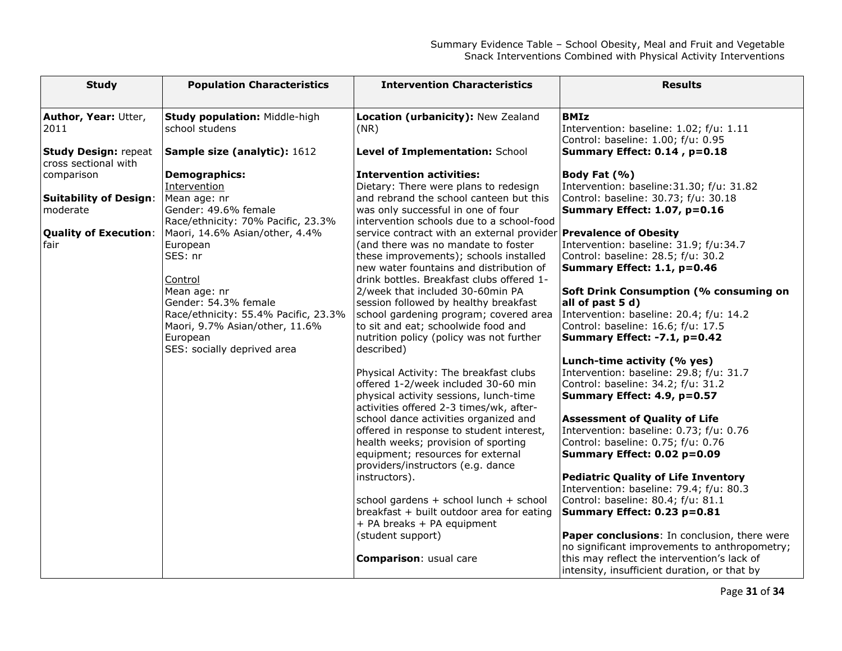| <b>Study</b>                                        | <b>Population Characteristics</b>                                    | <b>Intervention Characteristics</b>                                                                                  | <b>Results</b>                                                                               |
|-----------------------------------------------------|----------------------------------------------------------------------|----------------------------------------------------------------------------------------------------------------------|----------------------------------------------------------------------------------------------|
|                                                     |                                                                      |                                                                                                                      |                                                                                              |
| Author, Year: Utter,<br>2011                        | <b>Study population: Middle-high</b><br>school studens               | Location (urbanicity): New Zealand<br>(NR)                                                                           | <b>BMIz</b><br>Intervention: baseline: 1.02; f/u: 1.11<br>Control: baseline: 1.00; f/u: 0.95 |
| <b>Study Design: repeat</b><br>cross sectional with | Sample size (analytic): 1612                                         | Level of Implementation: School                                                                                      | Summary Effect: 0.14, p=0.18                                                                 |
| comparison                                          | <b>Demographics:</b>                                                 | $\,$ Intervention activities:                                                                                        | Body Fat (%)                                                                                 |
|                                                     | Intervention                                                         | Dietary: There were plans to redesign                                                                                | Intervention: baseline: 31.30; f/u: 31.82                                                    |
| <b>Suitability of Design:</b>                       | Mean age: nr                                                         | and rebrand the school canteen but this                                                                              | Control: baseline: 30.73; f/u: 30.18                                                         |
| moderate                                            | Gender: 49.6% female                                                 | was only successful in one of four                                                                                   | <b>Summary Effect: 1.07, p=0.16</b>                                                          |
| <b>Quality of Execution:</b>                        | Race/ethnicity: 70% Pacific, 23.3%<br>Maori, 14.6% Asian/other, 4.4% | intervention schools due to a school-food<br>service contract with an external provider <b>Prevalence of Obesity</b> |                                                                                              |
| fair                                                | European                                                             | (and there was no mandate to foster                                                                                  | Intervention: baseline: 31.9; f/u:34.7                                                       |
|                                                     | SES: nr                                                              | these improvements); schools installed                                                                               | Control: baseline: 28.5; f/u: 30.2                                                           |
|                                                     |                                                                      | new water fountains and distribution of                                                                              | Summary Effect: 1.1, p=0.46                                                                  |
|                                                     | Control                                                              | drink bottles. Breakfast clubs offered 1-                                                                            |                                                                                              |
|                                                     | Mean age: nr                                                         | 2/week that included 30-60min PA                                                                                     | <b>Soft Drink Consumption (% consuming on</b>                                                |
|                                                     | Gender: 54.3% female                                                 | session followed by healthy breakfast                                                                                | all of past 5 d)                                                                             |
|                                                     | Race/ethnicity: 55.4% Pacific, 23.3%                                 | school gardening program; covered area                                                                               | Intervention: baseline: 20.4; f/u: 14.2                                                      |
|                                                     | Maori, 9.7% Asian/other, 11.6%<br>European                           | to sit and eat; schoolwide food and<br>nutrition policy (policy was not further                                      | Control: baseline: 16.6; f/u: 17.5<br>Summary Effect: -7.1, p=0.42                           |
|                                                     | SES: socially deprived area                                          | described)                                                                                                           |                                                                                              |
|                                                     |                                                                      |                                                                                                                      | Lunch-time activity (% yes)                                                                  |
|                                                     |                                                                      | Physical Activity: The breakfast clubs                                                                               | Intervention: baseline: 29.8; f/u: 31.7                                                      |
|                                                     |                                                                      | offered 1-2/week included 30-60 min                                                                                  | Control: baseline: 34.2; f/u: 31.2                                                           |
|                                                     |                                                                      | physical activity sessions, lunch-time                                                                               | Summary Effect: 4.9, p=0.57                                                                  |
|                                                     |                                                                      | activities offered 2-3 times/wk, after-                                                                              |                                                                                              |
|                                                     |                                                                      | school dance activities organized and                                                                                | <b>Assessment of Quality of Life</b>                                                         |
|                                                     |                                                                      | offered in response to student interest,<br>health weeks; provision of sporting                                      | Intervention: baseline: 0.73; f/u: 0.76<br>Control: baseline: 0.75; f/u: 0.76                |
|                                                     |                                                                      | equipment; resources for external                                                                                    | Summary Effect: 0.02 p=0.09                                                                  |
|                                                     |                                                                      | providers/instructors (e.g. dance                                                                                    |                                                                                              |
|                                                     |                                                                      | instructors).                                                                                                        | <b>Pediatric Quality of Life Inventory</b>                                                   |
|                                                     |                                                                      |                                                                                                                      | Intervention: baseline: 79.4; f/u: 80.3                                                      |
|                                                     |                                                                      | school gardens + school lunch + school                                                                               | Control: baseline: 80.4; f/u: 81.1                                                           |
|                                                     |                                                                      | breakfast + built outdoor area for eating                                                                            | Summary Effect: 0.23 p=0.81                                                                  |
|                                                     |                                                                      | + PA breaks + PA equipment                                                                                           |                                                                                              |
|                                                     |                                                                      | (student support)                                                                                                    | Paper conclusions: In conclusion, there were                                                 |
|                                                     |                                                                      | <b>Comparison:</b> usual care                                                                                        | no significant improvements to anthropometry;<br>this may reflect the intervention's lack of |
|                                                     |                                                                      |                                                                                                                      | intensity, insufficient duration, or that by                                                 |
|                                                     |                                                                      |                                                                                                                      |                                                                                              |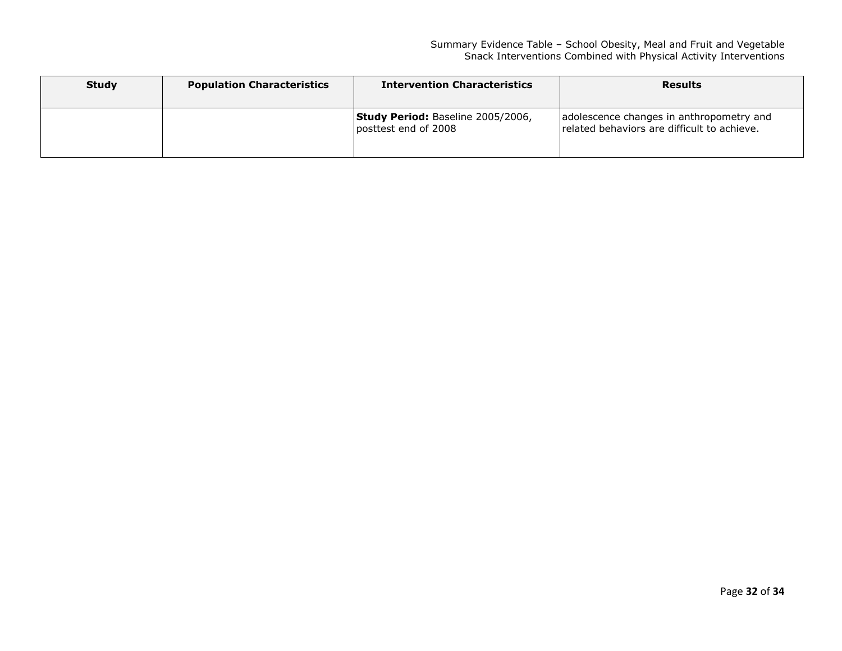| <b>Study</b> | <b>Population Characteristics</b> | <b>Intervention Characteristics</b>                       | <b>Results</b>                                                                          |
|--------------|-----------------------------------|-----------------------------------------------------------|-----------------------------------------------------------------------------------------|
|              |                                   | Study Period: Baseline 2005/2006,<br>posttest end of 2008 | adolescence changes in anthropometry and<br>related behaviors are difficult to achieve. |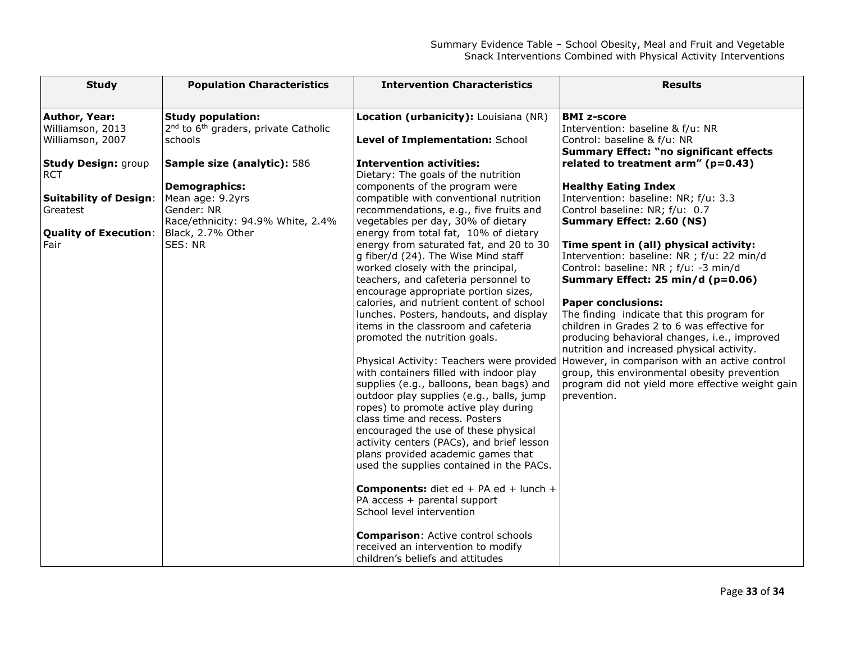| <b>Study</b>                                                                                                                                                                                  | <b>Population Characteristics</b>                                                                                                                                                                                                                                 | <b>Intervention Characteristics</b>                                                                                                                                                                                                                                                                                                                                                                                                                                                                                                                                                                                                                                                                                                                                                                                                                                                                        | <b>Results</b>                                                                                                                                                                                                                                                                                                                                                                                                                                                                                                                                                                                                                                                                                                                                                                                                                                                                                                                                |
|-----------------------------------------------------------------------------------------------------------------------------------------------------------------------------------------------|-------------------------------------------------------------------------------------------------------------------------------------------------------------------------------------------------------------------------------------------------------------------|------------------------------------------------------------------------------------------------------------------------------------------------------------------------------------------------------------------------------------------------------------------------------------------------------------------------------------------------------------------------------------------------------------------------------------------------------------------------------------------------------------------------------------------------------------------------------------------------------------------------------------------------------------------------------------------------------------------------------------------------------------------------------------------------------------------------------------------------------------------------------------------------------------|-----------------------------------------------------------------------------------------------------------------------------------------------------------------------------------------------------------------------------------------------------------------------------------------------------------------------------------------------------------------------------------------------------------------------------------------------------------------------------------------------------------------------------------------------------------------------------------------------------------------------------------------------------------------------------------------------------------------------------------------------------------------------------------------------------------------------------------------------------------------------------------------------------------------------------------------------|
| Author, Year:<br>Williamson, 2013<br>Williamson, 2007<br><b>Study Design: group</b><br><b>RCT</b><br><b>Suitability of Design:</b><br><b>Greatest</b><br><b>Quality of Execution:</b><br>Fair | <b>Study population:</b><br>2 <sup>nd</sup> to 6 <sup>th</sup> graders, private Catholic<br>schools<br>Sample size (analytic): 586<br><b>Demographics:</b><br>Mean age: 9.2yrs<br>Gender: NR<br>Race/ethnicity: 94.9% White, 2.4%<br>Black, 2.7% Other<br>SES: NR | Location (urbanicity): Louisiana (NR)<br>Level of Implementation: School<br><b>Intervention activities:</b><br>Dietary: The goals of the nutrition<br>components of the program were<br>compatible with conventional nutrition<br>recommendations, e.g., five fruits and<br>vegetables per day, 30% of dietary<br>energy from total fat, 10% of dietary<br>energy from saturated fat, and 20 to 30<br>g fiber/d (24). The Wise Mind staff<br>worked closely with the principal,<br>teachers, and cafeteria personnel to<br>encourage appropriate portion sizes,<br>calories, and nutrient content of school<br>lunches. Posters, handouts, and display<br>items in the classroom and cafeteria<br>promoted the nutrition goals.<br>with containers filled with indoor play<br>supplies (e.g., balloons, bean bags) and<br>outdoor play supplies (e.g., balls, jump<br>ropes) to promote active play during | <b>BMI z-score</b><br>Intervention: baseline & f/u: NR<br>Control: baseline & f/u: NR<br><b>Summary Effect: "no significant effects</b><br>related to treatment $arm''$ ( $p=0.43$ )<br><b>Healthy Eating Index</b><br>Intervention: baseline: NR; f/u: 3.3<br>Control baseline: NR; f/u: 0.7<br><b>Summary Effect: 2.60 (NS)</b><br>Time spent in (all) physical activity:<br>Intervention: baseline: NR ; f/u: 22 min/d<br>Control: baseline: NR ; f/u: -3 min/d<br>Summary Effect: 25 min/d (p=0.06)<br><b>Paper conclusions:</b><br>The finding indicate that this program for<br>children in Grades 2 to 6 was effective for<br>producing behavioral changes, i.e., improved<br>nutrition and increased physical activity.<br>Physical Activity: Teachers were provided However, in comparison with an active control<br>group, this environmental obesity prevention<br>program did not yield more effective weight gain<br>prevention. |
|                                                                                                                                                                                               |                                                                                                                                                                                                                                                                   | class time and recess. Posters<br>encouraged the use of these physical<br>activity centers (PACs), and brief lesson<br>plans provided academic games that<br>used the supplies contained in the PACs.                                                                                                                                                                                                                                                                                                                                                                                                                                                                                                                                                                                                                                                                                                      |                                                                                                                                                                                                                                                                                                                                                                                                                                                                                                                                                                                                                                                                                                                                                                                                                                                                                                                                               |
|                                                                                                                                                                                               |                                                                                                                                                                                                                                                                   | <b>Components:</b> diet ed + PA ed + lunch +<br>PA access + parental support<br>School level intervention<br><b>Comparison: Active control schools</b><br>received an intervention to modify<br>children's beliefs and attitudes                                                                                                                                                                                                                                                                                                                                                                                                                                                                                                                                                                                                                                                                           |                                                                                                                                                                                                                                                                                                                                                                                                                                                                                                                                                                                                                                                                                                                                                                                                                                                                                                                                               |